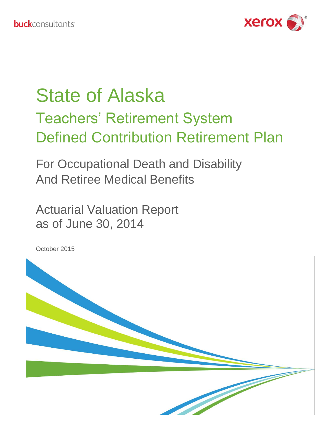

# State of Alaska Teachers' Retirement System Defined Contribution Retirement Plan

For Occupational Death and Disability And Retiree Medical Benefits

Actuarial Valuation Report as of June 30, 2014

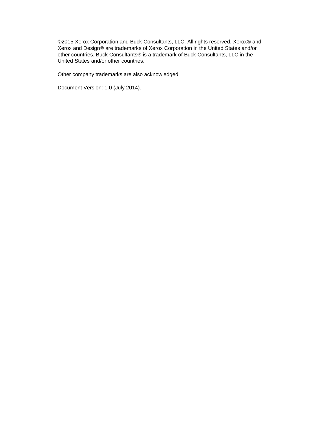©2015 Xerox Corporation and Buck Consultants, LLC. All rights reserved. Xerox® and Xerox and Design® are trademarks of Xerox Corporation in the United States and/or other countries. Buck Consultants® is a trademark of Buck Consultants, LLC in the United States and/or other countries.

Other company trademarks are also acknowledged.

Document Version: 1.0 (July 2014).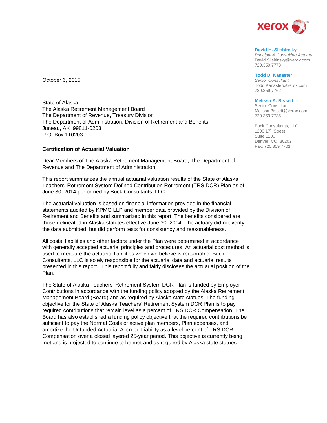

#### **David H. Slishinsky**

*Principal & Consulting Actuary* David.Slishinsky@xerox.com 720.359.7773

#### **Todd D. Kanaster**

*Senior Consultant* Todd.Kanaster@xerox.com 720.359.7762

#### **Melissa A. Bissett**

Senior Consultant Melissa.Bissett@xerox.com 720.359.7735

Buck Consultants, LLC. 1200  $17<sup>th</sup>$  Street Suite 1200 Denver, CO 80202 Fax: 720.359.7701

October 6, 2015

State of Alaska The Alaska Retirement Management Board The Department of Revenue, Treasury Division The Department of Administration, Division of Retirement and Benefits Juneau, AK 99811-0203 P.O. Box 110203

#### **Certification of Actuarial Valuation**

Dear Members of The Alaska Retirement Management Board, The Department of Revenue and The Department of Administration:

This report summarizes the annual actuarial valuation results of the State of Alaska Teachers' Retirement System Defined Contribution Retirement (TRS DCR) Plan as of June 30, 2014 performed by Buck Consultants, LLC.

The actuarial valuation is based on financial information provided in the financial statements audited by KPMG LLP and member data provided by the Division of Retirement and Benefits and summarized in this report. The benefits considered are those delineated in Alaska statutes effective June 30, 2014. The actuary did not verify the data submitted, but did perform tests for consistency and reasonableness.

All costs, liabilities and other factors under the Plan were determined in accordance with generally accepted actuarial principles and procedures. An actuarial cost method is used to measure the actuarial liabilities which we believe is reasonable. Buck Consultants, LLC is solely responsible for the actuarial data and actuarial results presented in this report. This report fully and fairly discloses the actuarial position of the Plan.

The State of Alaska Teachers' Retirement System DCR Plan is funded by Employer Contributions in accordance with the funding policy adopted by the Alaska Retirement Management Board (Board) and as required by Alaska state statues. The funding objective for the State of Alaska Teachers' Retirement System DCR Plan is to pay required contributions that remain level as a percent of TRS DCR Compensation. The Board has also established a funding policy objective that the required contributions be sufficient to pay the Normal Costs of active plan members, Plan expenses, and amortize the Unfunded Actuarial Accrued Liability as a level percent of TRS DCR Compensation over a closed layered 25-year period. This objective is currently being met and is projected to continue to be met and as required by Alaska state statues.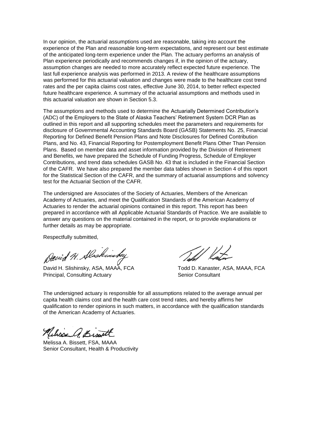In our opinion, the actuarial assumptions used are reasonable, taking into account the experience of the Plan and reasonable long-term expectations, and represent our best estimate of the anticipated long-term experience under the Plan. The actuary performs an analysis of Plan experience periodically and recommends changes if, in the opinion of the actuary, assumption changes are needed to more accurately reflect expected future experience. The last full experience analysis was performed in 2013. A review of the healthcare assumptions was performed for this actuarial valuation and changes were made to the healthcare cost trend rates and the per capita claims cost rates, effective June 30, 2014, to better reflect expected future healthcare experience. A summary of the actuarial assumptions and methods used in this actuarial valuation are shown in Section 5.3.

The assumptions and methods used to determine the Actuarially Determined Contribution's (ADC) of the Employers to the State of Alaska Teachers' Retirement System DCR Plan as outlined in this report and all supporting schedules meet the parameters and requirements for disclosure of Governmental Accounting Standards Board (GASB) Statements No. 25, Financial Reporting for Defined Benefit Pension Plans and Note Disclosures for Defined Contribution Plans, and No. 43, Financial Reporting for Postemployment Benefit Plans Other Than Pension Plans. Based on member data and asset information provided by the Division of Retirement and Benefits, we have prepared the Schedule of Funding Progress, Schedule of Employer Contributions, and trend data schedules GASB No. 43 that is included in the Financial Section of the CAFR. We have also prepared the member data tables shown in Section 4 of this report for the Statistical Section of the CAFR, and the summary of actuarial assumptions and solvency test for the Actuarial Section of the CAFR.

The undersigned are Associates of the Society of Actuaries, Members of the American Academy of Actuaries, and meet the Qualification Standards of the American Academy of Actuaries to render the actuarial opinions contained in this report. This report has been prepared in accordance with all Applicable Actuarial Standards of Practice. We are available to answer any questions on the material contained in the report, or to provide explanations or further details as may be appropriate.

Respectfully submitted,

David H. Alaskinsky

David H. Slishinsky, ASA, MAAA, FCA Todd D. Kanaster, ASA, MAAA, FCA Principal, Consulting Actuary **Senior Consultant** Senior Consultant

The undersigned actuary is responsible for all assumptions related to the average annual per capita health claims cost and the health care cost trend rates, and hereby affirms her qualification to render opinions in such matters, in accordance with the qualification standards of the American Academy of Actuaries.

Melisse A. Bissett

Melissa A. Bissett, FSA, MAAA Senior Consultant, Health & Productivity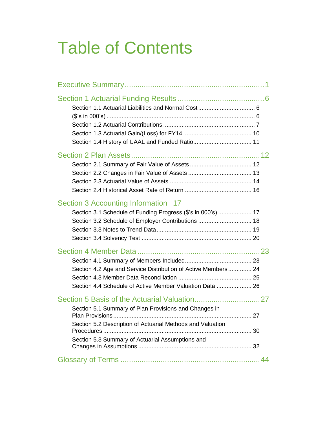# Table of Contents

| Section 3 Accounting Information 17<br>Section 3.1 Schedule of Funding Progress (\$'s in 000's)  17                                                                     |
|-------------------------------------------------------------------------------------------------------------------------------------------------------------------------|
| Section 4.2 Age and Service Distribution of Active Members 24<br>Section 4.4 Schedule of Active Member Valuation Data  26                                               |
| Section 5.1 Summary of Plan Provisions and Changes in<br>Section 5.2 Description of Actuarial Methods and Valuation<br>Section 5.3 Summary of Actuarial Assumptions and |
|                                                                                                                                                                         |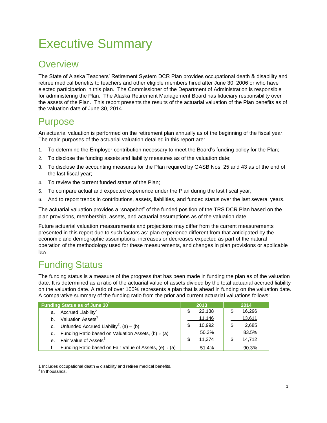## <span id="page-5-0"></span>Executive Summary

### **Overview**

The State of Alaska Teachers' Retirement System DCR Plan provides occupational death & disability and retiree medical benefits to teachers and other eligible members hired after June 30, 2006 or who have elected participation in this plan. The Commissioner of the Department of Administration is responsible for administering the Plan. The Alaska Retirement Management Board has fiduciary responsibility over the assets of the Plan. This report presents the results of the actuarial valuation of the Plan benefits as of the valuation date of June 30, 2014.

### Purpose

An actuarial valuation is performed on the retirement plan annually as of the beginning of the fiscal year. The main purposes of the actuarial valuation detailed in this report are:

- 1. To determine the Employer contribution necessary to meet the Board's funding policy for the Plan;
- 2. To disclose the funding assets and liability measures as of the valuation date;
- 3. To disclose the accounting measures for the Plan required by GASB Nos. 25 and 43 as of the end of the last fiscal year;
- 4. To review the current funded status of the Plan;
- 5. To compare actual and expected experience under the Plan during the last fiscal year;
- 6. And to report trends in contributions, assets, liabilities, and funded status over the last several years.

The actuarial valuation provides a "snapshot" of the funded position of the TRS DCR Plan based on the plan provisions, membership, assets, and actuarial assumptions as of the valuation date.

Future actuarial valuation measurements and projections may differ from the current measurements presented in this report due to such factors as: plan experience different from that anticipated by the economic and demographic assumptions, increases or decreases expected as part of the natural operation of the methodology used for these measurements, and changes in plan provisions or applicable law.

### Funding Status

The funding status is a measure of the progress that has been made in funding the plan as of the valuation date. It is determined as a ratio of the actuarial value of assets divided by the total actuarial accrued liability on the valuation date. A ratio of over 100% represents a plan that is ahead in funding on the valuation date. A comparative summary of the funding ratio from the prior and current actuarial valuations follows:

| Funding Status as of June 30 <sup>1</sup> |                                                             | 2013   |     | 2014   |
|-------------------------------------------|-------------------------------------------------------------|--------|-----|--------|
|                                           | a. Accrued Liability <sup>2</sup>                           | 22.138 |     | 16,296 |
| b.                                        | Valuation Assets <sup>2</sup>                               | 11,146 |     | 13,611 |
| C.                                        | Unfunded Accrued Liability <sup>2</sup> , (a) – (b)         | 10.992 | \$. | 2,685  |
| d.                                        | Funding Ratio based on Valuation Assets, $(b) \div (a)$     | 50.3%  |     | 83.5%  |
|                                           | e. Fair Value of Assets <sup>2</sup>                        | 11.374 | \$  | 14,712 |
|                                           | Funding Ratio based on Fair Value of Assets, (e) $\div$ (a) | 51.4%  |     | 90.3%  |

 $\overline{a}$ 1 Includes occupational death & disability and retiree medical benefits.

<sup>&</sup>lt;sup>2</sup> In thousands.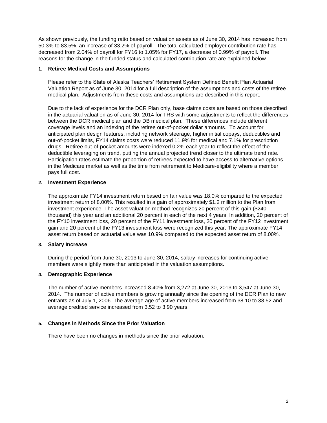As shown previously, the funding ratio based on valuation assets as of June 30, 2014 has increased from 50.3% to 83.5%, an increase of 33.2% of payroll. The total calculated employer contribution rate has decreased from 2.04% of payroll for FY16 to 1.05% for FY17, a decrease of 0.99% of payroll. The reasons for the change in the funded status and calculated contribution rate are explained below.

#### **1. Retiree Medical Costs and Assumptions**

Please refer to the State of Alaska Teachers' Retirement System Defined Benefit Plan Actuarial Valuation Report as of June 30, 2014 for a full description of the assumptions and costs of the retiree medical plan. Adjustments from these costs and assumptions are described in this report.

Due to the lack of experience for the DCR Plan only, base claims costs are based on those described in the actuarial valuation as of June 30, 2014 for TRS with some adjustments to reflect the differences between the DCR medical plan and the DB medical plan. These differences include different coverage levels and an indexing of the retiree out-of-pocket dollar amounts. To account for anticipated plan design features, including network steerage, higher initial copays, deductibles and out-of-pocket limits, FY14 claims costs were reduced 11.9% for medical and 7.1% for prescription drugs. Retiree out-of-pocket amounts were indexed 0.2% each year to reflect the effect of the deductible leveraging on trend, putting the annual projected trend closer to the ultimate trend rate. Participation rates estimate the proportion of retirees expected to have access to alternative options in the Medicare market as well as the time from retirement to Medicare-eligibility where a member pays full cost.

#### **2. Investment Experience**

The approximate FY14 investment return based on fair value was 18.0% compared to the expected investment return of 8.00%. This resulted in a gain of approximately \$1.2 million to the Plan from investment experience. The asset valuation method recognizes 20 percent of this gain (\$240 thousand) this year and an additional 20 percent in each of the next 4 years. In addition, 20 percent of the FY10 investment loss, 20 percent of the FY11 investment loss, 20 percent of the FY12 investment gain and 20 percent of the FY13 investment loss were recognized this year. The approximate FY14 asset return based on actuarial value was 10.9% compared to the expected asset return of 8.00%.

#### **3. Salary Increase**

During the period from June 30, 2013 to June 30, 2014, salary increases for continuing active members were slightly more than anticipated in the valuation assumptions.

#### **4. Demographic Experience**

The number of active members increased 8.40% from 3,272 at June 30, 2013 to 3,547 at June 30, 2014. The number of active members is growing annually since the opening of the DCR Plan to new entrants as of July 1, 2006. The average age of active members increased from 38.10 to 38.52 and average credited service increased from 3.52 to 3.90 years.

#### **5. Changes in Methods Since the Prior Valuation**

There have been no changes in methods since the prior valuation.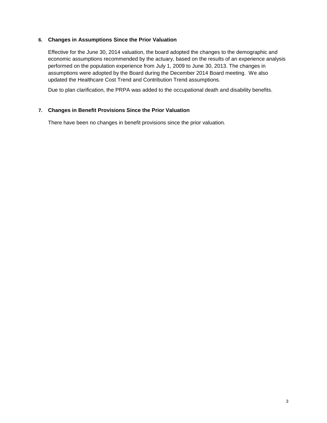#### **6. Changes in Assumptions Since the Prior Valuation**

Effective for the June 30, 2014 valuation, the board adopted the changes to the demographic and economic assumptions recommended by the actuary, based on the results of an experience analysis performed on the population experience from July 1, 2009 to June 30, 2013. The changes in assumptions were adopted by the Board during the December 2014 Board meeting. We also updated the Healthcare Cost Trend and Contribution Trend assumptions.

Due to plan clarification, the PRPA was added to the occupational death and disability benefits.

#### **7. Changes in Benefit Provisions Since the Prior Valuation**

There have been no changes in benefit provisions since the prior valuation.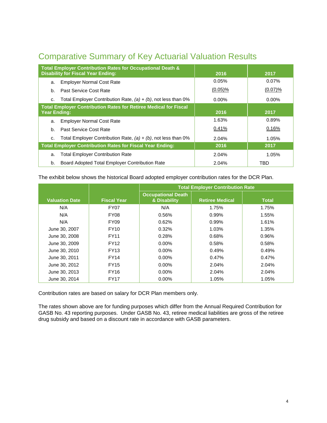| <b>Comparative Summary of Key Actuarial Valuation Results</b> |  |  |  |
|---------------------------------------------------------------|--|--|--|
|                                                               |  |  |  |

| Total Employer Contribution Rates for Occupational Death &<br><b>Disability for Fiscal Year Ending:</b> | 2016       | 2017       |
|---------------------------------------------------------------------------------------------------------|------------|------------|
| <b>Employer Normal Cost Rate</b><br>a.                                                                  | 0.05%      | 0.07%      |
| <b>Past Service Cost Rate</b><br>b.                                                                     | $(0.05)\%$ | $(0.07)\%$ |
| Total Employer Contribution Rate, $(a) + (b)$ , not less than 0%<br>C.                                  | $0.00\%$   | $0.00\%$   |
| <b>Total Employer Contribution Rates for Retiree Medical for Fiscal</b><br><b>Year Ending:</b>          | 2016       | 2017       |
| <b>Employer Normal Cost Rate</b><br>a.                                                                  | 1.63%      | 0.89%      |
| Past Service Cost Rate<br>b.                                                                            | 0.41%      | 0.16%      |
| Total Employer Contribution Rate, $(a) + (b)$ , not less than 0%<br>C.                                  | 2.04%      | 1.05%      |
| <b>Total Employer Contribution Rates for Fiscal Year Ending:</b>                                        | 2016       | 2017       |
| <b>Total Employer Contribution Rate</b><br>a.                                                           | 2.04%      | 1.05%      |
| Board Adopted Total Employer Contribution Rate<br>b.                                                    | 2.04%      | TBD        |

The exhibit below shows the historical Board adopted employer contribution rates for the DCR Plan.

|                       |                    | <b>Total Employer Contribution Rate</b>   |                        |              |  |  |
|-----------------------|--------------------|-------------------------------------------|------------------------|--------------|--|--|
| <b>Valuation Date</b> | <b>Fiscal Year</b> | <b>Occupational Death</b><br>& Disability | <b>Retiree Medical</b> | <b>Total</b> |  |  |
| N/A                   | FY07               | N/A                                       | 1.75%                  | 1.75%        |  |  |
| N/A                   | <b>FY08</b>        | 0.56%                                     | 0.99%                  | 1.55%        |  |  |
| N/A                   | <b>FY09</b>        | 0.62%                                     | 0.99%                  | 1.61%        |  |  |
| June 30, 2007         | <b>FY10</b>        | 0.32%                                     | 1.03%                  | 1.35%        |  |  |
| June 30, 2008         | <b>FY11</b>        | 0.28%                                     | 0.68%                  | 0.96%        |  |  |
| June 30, 2009         | <b>FY12</b>        | $0.00\%$                                  | 0.58%                  | 0.58%        |  |  |
| June 30, 2010         | <b>FY13</b>        | $0.00\%$                                  | 0.49%                  | 0.49%        |  |  |
| June 30, 2011         | <b>FY14</b>        | $0.00\%$                                  | 0.47%                  | 0.47%        |  |  |
| June 30, 2012         | <b>FY15</b>        | $0.00\%$                                  | 2.04%                  | 2.04%        |  |  |
| June 30, 2013         | <b>FY16</b>        | $0.00\%$                                  | 2.04%                  | 2.04%        |  |  |
| June 30, 2014         | <b>FY17</b>        | 0.00%                                     | 1.05%                  | 1.05%        |  |  |

Contribution rates are based on salary for DCR Plan members only.

The rates shown above are for funding purposes which differ from the Annual Required Contribution for GASB No. 43 reporting purposes. Under GASB No. 43, retiree medical liabilities are gross of the retiree drug subsidy and based on a discount rate in accordance with GASB parameters.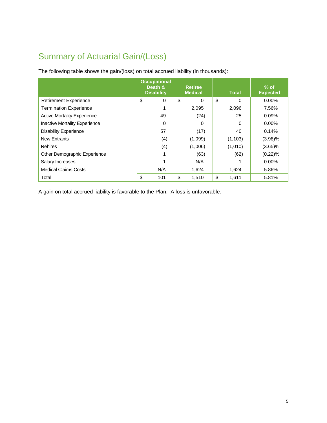### Summary of Actuarial Gain/(Loss)

The following table shows the gain/(loss) on total accrued liability (in thousands):

|                                    | <b>Occupational</b><br>Death &<br><b>Disability</b> | <b>Retiree</b><br><b>Medical</b> | <b>Total</b> | $\%$ of<br><b>Expected</b> |
|------------------------------------|-----------------------------------------------------|----------------------------------|--------------|----------------------------|
| <b>Retirement Experience</b>       | \$<br>0                                             | \$<br>$\Omega$                   | \$<br>0      | $0.00\%$                   |
| <b>Termination Experience</b>      |                                                     | 2,095                            | 2,096        | 7.56%                      |
| <b>Active Mortality Experience</b> | 49                                                  | (24)                             | 25           | $0.09\%$                   |
| Inactive Mortality Experience      | 0                                                   | 0                                | 0            | $0.00\%$                   |
| <b>Disability Experience</b>       | 57                                                  | (17)                             | 40           | 0.14%                      |
| <b>New Entrants</b>                | (4)                                                 | (1,099)                          | (1, 103)     | $(3.98)\%$                 |
| <b>Rehires</b>                     | (4)                                                 | (1,006)                          | (1,010)      | $(3.65)\%$                 |
| Other Demographic Experience       |                                                     | (63)                             | (62)         | $(0.22)\%$                 |
| Salary Increases                   | 1                                                   | N/A                              |              | $0.00\%$                   |
| <b>Medical Claims Costs</b>        | N/A                                                 | 1,624                            | 1,624        | 5.86%                      |
| Total                              | \$<br>101                                           | \$<br>1,510                      | \$<br>1,611  | 5.81%                      |

A gain on total accrued liability is favorable to the Plan. A loss is unfavorable.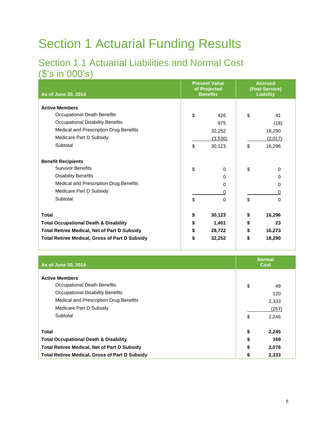## <span id="page-10-0"></span>Section 1 Actuarial Funding Results

### <span id="page-10-2"></span><span id="page-10-1"></span>Section 1.1 Actuarial Liabilities and Normal Cost (\$'s in 000's)

| As of June 30, 2014                                   |              | <b>Present Value</b><br>of Projected<br><b>Benefits</b> | <b>Accrued</b><br>(Past Service)<br><b>Liability</b> |
|-------------------------------------------------------|--------------|---------------------------------------------------------|------------------------------------------------------|
| <b>Active Members</b>                                 |              |                                                         |                                                      |
| Occupational Death Benefits                           | \$           | 426                                                     | \$<br>41                                             |
| Occupational Disability Benefits                      |              | 975                                                     | (18)                                                 |
| Medical and Prescription Drug Benefits                |              | 32,252                                                  | 18,290                                               |
| Medicare Part D Subsidy                               |              | (3,530)                                                 | (2,017)                                              |
| Subtotal                                              | \$<br>30,123 |                                                         | \$<br>16,296                                         |
| <b>Benefit Recipients</b>                             |              |                                                         |                                                      |
| <b>Survivor Benefits</b>                              | \$           | 0                                                       | \$<br>0                                              |
| <b>Disability Benefits</b>                            |              | 0                                                       | 0                                                    |
| Medical and Prescription Drug Benefits                |              | 0                                                       | 0                                                    |
| Medicare Part D Subsidy                               |              | 0                                                       | 0                                                    |
| Subtotal                                              | \$           | 0                                                       | \$<br>0                                              |
| <b>Total</b>                                          | \$           | 30,123                                                  | \$<br>16,296                                         |
| <b>Total Occupational Death &amp; Disability</b>      | \$           | 1,401                                                   | \$<br>23                                             |
| <b>Total Retiree Medical, Net of Part D Subsidy</b>   | \$           | 28,722                                                  | \$<br>16,273                                         |
| <b>Total Retiree Medical, Gross of Part D Subsidy</b> | \$           | 32,252                                                  | \$<br>18,290                                         |

| As of June 30, 2014                                                                                                                                                              |          | <b>Normal</b><br><b>Cost</b>         |
|----------------------------------------------------------------------------------------------------------------------------------------------------------------------------------|----------|--------------------------------------|
| <b>Active Members</b><br>Occupational Death Benefits<br><b>Occupational Disability Benefits</b><br>Medical and Prescription Drug Benefits<br>Medicare Part D Subsidy<br>Subtotal | \$<br>\$ | 49<br>120<br>2,333<br>(257)<br>2,245 |
| Total                                                                                                                                                                            |          | 2,245                                |
| <b>Total Occupational Death &amp; Disability</b><br><b>Total Retiree Medical, Net of Part D Subsidy</b>                                                                          |          | 169<br>2,076                         |
| <b>Total Retiree Medical, Gross of Part D Subsidy</b>                                                                                                                            |          | 2,333                                |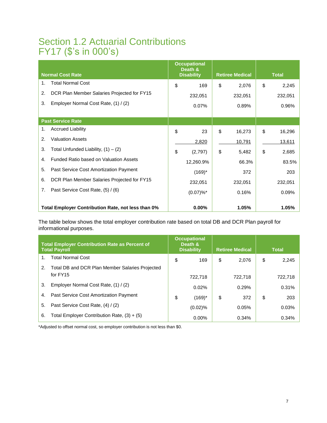### <span id="page-11-0"></span>Section 1.2 Actuarial Contributions FY17 (\$'s in 000's)

| <b>Normal Cost Rate</b>                             | <b>Occupational</b><br>Death &<br><b>Disability</b> | <b>Retiree Medical</b> | <b>Total</b> |
|-----------------------------------------------------|-----------------------------------------------------|------------------------|--------------|
| <b>Total Normal Cost</b><br>1.                      | \$<br>169                                           | \$<br>2,076            | \$<br>2,245  |
| 2.<br>DCR Plan Member Salaries Projected for FY15   | 232,051                                             | 232,051                | 232,051      |
| 3.<br>Employer Normal Cost Rate, (1) / (2)          | 0.07%                                               | 0.89%                  | 0.96%        |
| <b>Past Service Rate</b>                            |                                                     |                        |              |
| <b>Accrued Liability</b><br>1.                      | \$<br>23                                            | \$<br>16,273           | \$<br>16,296 |
| <b>Valuation Assets</b><br>2.                       | 2,820                                               | 10,791                 | 13,611       |
| Total Unfunded Liability, $(1) - (2)$<br>3.         | \$<br>(2,797)                                       | \$<br>5,482            | \$<br>2,685  |
| Funded Ratio based on Valuation Assets<br>4.        | 12,260.9%                                           | 66.3%                  | 83.5%        |
| 5.<br>Past Service Cost Amortization Payment        | $(169)^{*}$                                         | 372                    | 203          |
| 6.<br>DCR Plan Member Salaries Projected for FY15   | 232,051                                             | 232,051                | 232,051      |
| 7 <sub>1</sub><br>Past Service Cost Rate, (5) / (6) | (0.07)%                                             | 0.16%                  | 0.09%        |
| Total Employer Contribution Rate, not less than 0%  | $0.00\%$                                            | 1.05%                  | 1.05%        |

The table below shows the total employer contribution rate based on total DB and DCR Plan payroll for informational purposes.

| <b>Total Employer Contribution Rate as Percent of</b><br><b>Total Payroll</b> |                                                 | <b>Occupational</b><br>Death &<br><b>Disability</b> | <b>Retiree Medical</b> |         | <b>Total</b> |
|-------------------------------------------------------------------------------|-------------------------------------------------|-----------------------------------------------------|------------------------|---------|--------------|
| 1.                                                                            | <b>Total Normal Cost</b>                        | \$<br>169                                           | \$                     | 2,076   | \$<br>2,245  |
| 2.                                                                            | Total DB and DCR Plan Member Salaries Projected |                                                     |                        |         |              |
|                                                                               | for FY15                                        | 722.718                                             |                        | 722.718 | 722,718      |
| 3.                                                                            | Employer Normal Cost Rate, (1) / (2)            | 0.02%                                               |                        | 0.29%   | 0.31%        |
| 4.                                                                            | <b>Past Service Cost Amortization Payment</b>   | \$<br>$(169)^*$                                     | \$                     | 372     | \$<br>203    |
| 5.                                                                            | Past Service Cost Rate, (4) / (2)               | $(0.02)$ %                                          |                        | 0.05%   | 0.03%        |
| 6.                                                                            | Total Employer Contribution Rate, $(3) + (5)$   | $0.00\%$                                            |                        | 0.34%   | 0.34%        |

\*Adjusted to offset normal cost, so employer contribution is not less than \$0.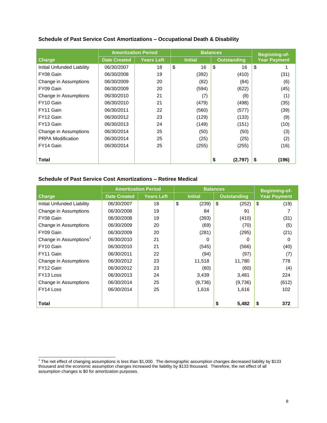| Schedule of Past Service Cost Amortizations - Occupational Death & Disability |  |
|-------------------------------------------------------------------------------|--|
|-------------------------------------------------------------------------------|--|

|                            | <b>Amortization Period</b> |                   | <b>Balances</b> |                |                    | <b>Beginning-of-</b> |       |
|----------------------------|----------------------------|-------------------|-----------------|----------------|--------------------|----------------------|-------|
| <b>Charge</b>              | <b>Date Created</b>        | <b>Years Left</b> |                 | <b>Initial</b> | <b>Outstanding</b> | <b>Year Payment</b>  |       |
| Initial Unfunded Liability | 06/30/2007                 | 18                | \$              | 16             | \$<br>16           | \$                   |       |
| FY08 Gain                  | 06/30/2008                 | 19                |                 | (392)          | (410)              |                      | (31)  |
| Change in Assumptions      | 06/30/2009                 | 20                |                 | (82)           | (84)               |                      | (6)   |
| FY09 Gain                  | 06/30/2009                 | 20                |                 | (594)          | (622)              |                      | (45)  |
| Change in Assumptions      | 06/30/2010                 | 21                |                 | (7)            | (8)                |                      | (1)   |
| FY10 Gain                  | 06/30/2010                 | 21                |                 | (479)          | (498)              |                      | (35)  |
| FY11 Gain                  | 06/30/2011                 | 22                |                 | (560)          | (577)              |                      | (39)  |
| FY12 Gain                  | 06/30/2012                 | 23                |                 | (129)          | (133)              |                      | (9)   |
| FY13 Gain                  | 06/30/2013                 | 24                |                 | (149)          | (151)              |                      | (10)  |
| Change in Assumptions      | 06/30/2014                 | 25                |                 | (50)           | (50)               |                      | (3)   |
| <b>PRPA Modification</b>   | 06/30/2014                 | 25                |                 | (25)           | (25)               |                      | (2)   |
| FY14 Gain                  | 06/30/2014                 | 25                |                 | (255)          | (255)              |                      | (16)  |
|                            |                            |                   |                 |                |                    |                      |       |
| Total                      |                            |                   |                 |                | \$<br>(2,797)      | \$                   | (196) |

### **Schedule of Past Service Cost Amortizations – Retiree Medical**

|                                    | <b>Amortization Period</b> |                   |                | <b>Balances</b>    | <b>Beginning-of-</b> |
|------------------------------------|----------------------------|-------------------|----------------|--------------------|----------------------|
| <b>Charge</b>                      | <b>Date Created</b>        | <b>Years Left</b> | <b>Initial</b> | <b>Outstanding</b> | <b>Year Payment</b>  |
| Initial Unfunded Liability         | 06/30/2007                 | 18                | \$<br>(239)    | \$<br>(252)        | \$<br>(19)           |
| Change in Assumptions              | 06/30/2008                 | 19                | 84             | 91                 |                      |
| FY08 Gain                          | 06/30/2008                 | 19                | (393)          | (410)              | (31)                 |
| Change in Assumptions              | 06/30/2009                 | 20                | (69)           | (70)               | (5)                  |
| FY09 Gain                          | 06/30/2009                 | 20                | (281)          | (295)              | (21)                 |
| Change in Assumptions <sup>1</sup> | 06/30/2010                 | 21                | 0              | 0                  | 0                    |
| FY10 Gain                          | 06/30/2010                 | 21                | (545)          | (566)              | (40)                 |
| FY11 Gain                          | 06/30/2011                 | 22                | (94)           | (97)               | (7)                  |
| Change in Assumptions              | 06/30/2012                 | 23                | 11,518         | 11,780             | 778                  |
| FY12 Gain                          | 06/30/2012                 | 23                | (60)           | (60)               | (4)                  |
| FY13 Loss                          | 06/30/2013                 | 24                | 3,439          | 3,481              | 224                  |
| Change in Assumptions              | 06/30/2014                 | 25                | (9,736)        | (9,736)            | (612)                |
| FY14 Loss                          | 06/30/2014                 | 25                | 1,616          | 1,616              | 102                  |
|                                    |                            |                   |                |                    |                      |
| Total                              |                            |                   |                | 5,482<br>\$        | 372<br>S             |

<sup>1&</sup>lt;br>The net effect of changing assumptions is less than \$1,000. The demographic assumption changes decreased liability by \$133 thousand and the economic assumption changes increased the liability by \$133 thousand. Therefore, the net effect of all assumption changes is \$0 for amortization purposes.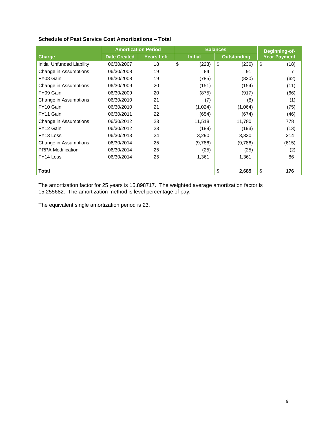|  |  | <b>Schedule of Past Service Cost Amortizations - Total</b> |  |
|--|--|------------------------------------------------------------|--|
|--|--|------------------------------------------------------------|--|

|                            | <b>Amortization Period</b> |                   |                | <b>Balances</b>    | <b>Beginning-of-</b> |
|----------------------------|----------------------------|-------------------|----------------|--------------------|----------------------|
| <b>Charge</b>              | <b>Date Created</b>        | <b>Years Left</b> | <b>Initial</b> | <b>Outstanding</b> | <b>Year Payment</b>  |
| Initial Unfunded Liability | 06/30/2007                 | 18                | \$<br>(223)    | \$<br>(236)        | \$<br>(18)           |
| Change in Assumptions      | 06/30/2008                 | 19                | 84             | 91                 |                      |
| FY08 Gain                  | 06/30/2008                 | 19                | (785)          | (820)              | (62)                 |
| Change in Assumptions      | 06/30/2009                 | 20                | (151)          | (154)              | (11)                 |
| FY09 Gain                  | 06/30/2009                 | 20                | (875)          | (917)              | (66)                 |
| Change in Assumptions      | 06/30/2010                 | 21                | (7)            | (8)                | (1)                  |
| FY10 Gain                  | 06/30/2010                 | 21                | (1,024)        | (1,064)            | (75)                 |
| FY11 Gain                  | 06/30/2011                 | 22                | (654)          | (674)              | (46)                 |
| Change in Assumptions      | 06/30/2012                 | 23                | 11,518         | 11,780             | 778                  |
| FY12 Gain                  | 06/30/2012                 | 23                | (189)          | (193)              | (13)                 |
| FY13 Loss                  | 06/30/2013                 | 24                | 3,290          | 3,330              | 214                  |
| Change in Assumptions      | 06/30/2014                 | 25                | (9,786)        | (9,786)            | (615)                |
| <b>PRPA Modification</b>   | 06/30/2014                 | 25                | (25)           | (25)               | (2)                  |
| FY14 Loss                  | 06/30/2014                 | 25                | 1,361          | 1,361              | 86                   |
|                            |                            |                   |                |                    |                      |
| <b>Total</b>               |                            |                   |                | 2,685<br>\$        | \$<br>176            |

The amortization factor for 25 years is 15.898717. The weighted average amortization factor is 15.255682. The amortization method is level percentage of pay.

The equivalent single amortization period is 23.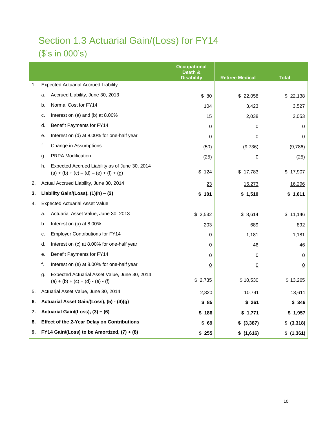## <span id="page-14-0"></span>Section 1.3 Actuarial Gain/(Loss) for FY14 (\$'s in 000's)

|    |                                                                                                   |                                                                                      | <b>Occupational</b><br>Death &<br><b>Disability</b> | <b>Retiree Medical</b> | <b>Total</b>   |
|----|---------------------------------------------------------------------------------------------------|--------------------------------------------------------------------------------------|-----------------------------------------------------|------------------------|----------------|
| 1. |                                                                                                   | <b>Expected Actuarial Accrued Liability</b>                                          |                                                     |                        |                |
|    | a.                                                                                                | Accrued Liability, June 30, 2013                                                     | \$ 80                                               | \$22,058               | \$22,138       |
|    | b.                                                                                                | Normal Cost for FY14                                                                 | 104                                                 | 3,423                  | 3,527          |
|    | c.                                                                                                | Interest on $(a)$ and $(b)$ at 8.00%                                                 | 15                                                  | 2,038                  | 2,053          |
|    | d.                                                                                                | Benefit Payments for FY14                                                            | 0                                                   | 0                      | 0              |
|    | е.                                                                                                | Interest on (d) at 8.00% for one-half year                                           | 0                                                   | 0                      | 0              |
|    | f.                                                                                                | Change in Assumptions                                                                | (50)                                                | (9,736)                | (9,786)        |
|    | g.                                                                                                | <b>PRPA Modification</b>                                                             | (25)                                                | $\overline{0}$         | (25)           |
|    | Expected Accrued Liability as of June 30, 2014<br>h.<br>$(a) + (b) + (c) - (d) - (e) + (f) + (g)$ |                                                                                      | \$<br>124                                           | \$17,783               | \$17,907       |
| 2. |                                                                                                   | Actual Accrued Liability, June 30, 2014                                              | 23                                                  | 16,273                 | 16,296         |
| 3. | Liability Gain/(Loss), $(1)(h) - (2)$                                                             |                                                                                      | 101<br>\$                                           | \$1,510                | \$1,611        |
| 4. |                                                                                                   | <b>Expected Actuarial Asset Value</b>                                                |                                                     |                        |                |
|    | a.                                                                                                | Actuarial Asset Value, June 30, 2013                                                 | \$2,532                                             | \$8,614                | \$11,146       |
|    | b.                                                                                                | Interest on (a) at 8.00%                                                             | 203                                                 | 689                    | 892            |
|    | c.                                                                                                | <b>Employer Contributions for FY14</b>                                               | 0                                                   | 1,181                  | 1,181          |
|    | d.                                                                                                | Interest on (c) at 8.00% for one-half year                                           | 0                                                   | 46                     | 46             |
|    | е.                                                                                                | Benefit Payments for FY14                                                            | 0                                                   | 0                      | 0              |
|    | f.                                                                                                | Interest on (e) at 8.00% for one-half year                                           | <u>0</u>                                            | 0                      | $\overline{0}$ |
|    | g.                                                                                                | Expected Actuarial Asset Value, June 30, 2014<br>$(a) + (b) + (c) + (d) - (e) - (f)$ | \$2,735                                             | \$10,530               | \$13,265       |
| 5. |                                                                                                   | Actuarial Asset Value, June 30, 2014                                                 | 2,820                                               | 10,791                 | <u>13,611</u>  |
| 6. |                                                                                                   | Actuarial Asset Gain/(Loss), (5) - (4)(g)                                            | \$85                                                | \$261                  | \$ 346         |
| 7. |                                                                                                   | Actuarial Gain/(Loss), (3) + (6)                                                     | \$186                                               | \$1,771                | \$1,957        |
| 8. |                                                                                                   | <b>Effect of the 2-Year Delay on Contributions</b>                                   | \$ 69                                               | \$ (3,387)             | \$ (3,318)     |
| 9. |                                                                                                   | FY14 Gain/(Loss) to be Amortized, (7) + (8)                                          | \$255                                               | \$(1,616)              | \$(1,361)      |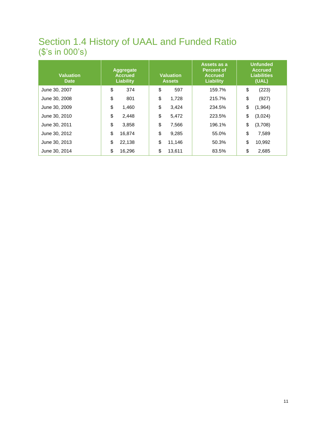### <span id="page-15-0"></span>Section 1.4 History of UAAL and Funded Ratio (\$'s in 000's)

| <b>Valuation</b><br><b>Date</b> | <b>Aggregate</b><br><b>Accrued</b><br>Liability | <b>Valuation</b><br><b>Assets</b> | Assets as a<br><b>Percent of</b><br><b>Accrued</b><br>Liability | <b>Unfunded</b><br><b>Accrued</b><br><b>Liabilities</b><br>(UAL) |         |
|---------------------------------|-------------------------------------------------|-----------------------------------|-----------------------------------------------------------------|------------------------------------------------------------------|---------|
| June 30, 2007                   | \$<br>374                                       | \$<br>597                         | 159.7%                                                          | \$                                                               | (223)   |
| June 30, 2008                   | \$<br>801                                       | \$<br>1,728                       | 215.7%                                                          | \$                                                               | (927)   |
| June 30, 2009                   | \$<br>1.460                                     | \$<br>3,424                       | 234.5%                                                          | \$                                                               | (1,964) |
| June 30, 2010                   | \$<br>2,448                                     | \$<br>5,472                       | 223.5%                                                          | \$                                                               | (3,024) |
| June 30, 2011                   | \$<br>3,858                                     | \$<br>7,566                       | 196.1%                                                          | \$                                                               | (3,708) |
| June 30, 2012                   | \$<br>16.874                                    | \$<br>9,285                       | 55.0%                                                           | \$                                                               | 7,589   |
| June 30, 2013                   | \$<br>22,138                                    | \$<br>11,146                      | 50.3%                                                           | \$                                                               | 10,992  |
| June 30, 2014                   | \$<br>16.296                                    | \$<br>13,611                      | 83.5%                                                           | \$                                                               | 2,685   |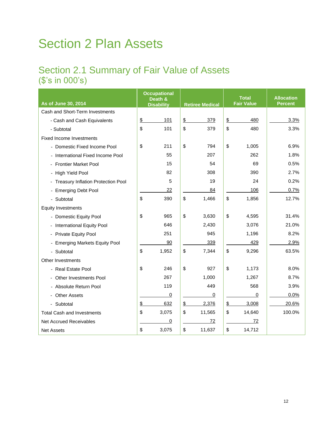## <span id="page-16-0"></span>Section 2 Plan Assets

### <span id="page-16-1"></span>Section 2.1 Summary of Fair Value of Assets (\$'s in 000's)

| As of June 30, 2014                  |               | <b>Occupational</b><br>Death & |               |                        |               | <b>Total</b><br><b>Fair Value</b> | <b>Allocation</b><br><b>Percent</b> |
|--------------------------------------|---------------|--------------------------------|---------------|------------------------|---------------|-----------------------------------|-------------------------------------|
|                                      |               | <b>Disability</b>              |               | <b>Retiree Medical</b> |               |                                   |                                     |
| Cash and Short-Term Investments      |               |                                |               |                        |               | 480                               | 3.3%                                |
| - Cash and Cash Equivalents          | $\frac{2}{3}$ | 101                            | $\frac{3}{2}$ | 379                    | $\frac{2}{3}$ |                                   |                                     |
| - Subtotal                           | \$            | 101                            | \$            | 379                    | \$            | 480                               | 3.3%                                |
| <b>Fixed Income Investments</b>      |               |                                |               |                        |               |                                   |                                     |
| - Domestic Fixed Income Pool         | \$            | 211                            | \$            | 794                    | \$            | 1,005                             | 6.9%                                |
| - International Fixed Income Pool    |               | 55                             |               | 207                    |               | 262                               | 1.8%                                |
| <b>Frontier Market Pool</b>          |               | 15                             |               | 54                     |               | 69                                | 0.5%                                |
| - High Yield Pool                    |               | 82                             |               | 308                    |               | 390                               | 2.7%                                |
| - Treasury Inflation Protection Pool |               | 5                              |               | 19                     |               | 24                                | 0.2%                                |
| - Emerging Debt Pool                 |               | 22                             |               | 84                     |               | 106                               | 0.7%                                |
| - Subtotal                           | \$            | 390                            | \$            | 1,466                  | \$            | 1,856                             | 12.7%                               |
| <b>Equity Investments</b>            |               |                                |               |                        |               |                                   |                                     |
| - Domestic Equity Pool               | \$            | 965                            | \$            | 3,630                  | \$            | 4,595                             | 31.4%                               |
| - International Equity Pool          |               | 646                            |               | 2,430                  |               | 3,076                             | 21.0%                               |
| - Private Equity Pool                |               | 251                            |               | 945                    |               | 1,196                             | 8.2%                                |
| - Emerging Markets Equity Pool       |               | 90                             |               | 339                    |               | 429                               | 2.9%                                |
| - Subtotal                           | \$            | 1,952                          | \$            | 7,344                  | \$            | 9,296                             | 63.5%                               |
| Other Investments                    |               |                                |               |                        |               |                                   |                                     |
| - Real Estate Pool                   | \$            | 246                            | \$            | 927                    | \$            | 1,173                             | $8.0\%$                             |
| - Other Investments Pool             |               | 267                            |               | 1,000                  |               | 1,267                             | 8.7%                                |
| - Absolute Return Pool               |               | 119                            |               | 449                    |               | 568                               | 3.9%                                |
| <b>Other Assets</b>                  |               | 0                              |               | 0                      |               | 0                                 | 0.0%                                |
| - Subtotal                           | \$            | 632                            | $\frac{1}{2}$ | 2,376                  | \$            | 3,008                             | 20.6%                               |
| <b>Total Cash and Investments</b>    | \$            | 3,075                          | \$            | 11,565                 | \$            | 14,640                            | 100.0%                              |
| <b>Net Accrued Receivables</b>       |               | 0                              |               | 72                     |               | 72                                |                                     |
| <b>Net Assets</b>                    | \$            | 3,075                          | \$            | 11,637                 | \$            | 14,712                            |                                     |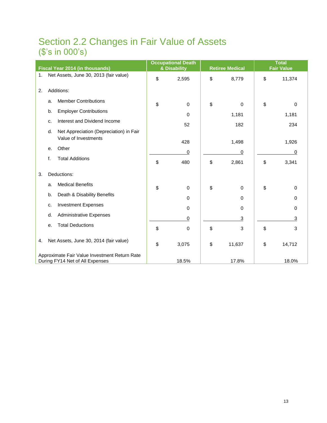### <span id="page-17-0"></span>Section 2.2 Changes in Fair Value of Assets (\$'s in 000's)

|    | Fiscal Year 2014 (in thousands) |                                                                                  | <b>Occupational Death</b><br>& Disability | <b>Retiree Medical</b> | <b>Total</b><br><b>Fair Value</b> |             |
|----|---------------------------------|----------------------------------------------------------------------------------|-------------------------------------------|------------------------|-----------------------------------|-------------|
| 1. |                                 | Net Assets, June 30, 2013 (fair value)                                           | \$<br>2,595                               | \$<br>8,779            | \$                                | 11,374      |
| 2. |                                 | Additions:                                                                       |                                           |                        |                                   |             |
|    | a.                              | <b>Member Contributions</b>                                                      | \$<br>$\Omega$                            | \$<br>0                | \$                                | 0           |
|    | b.                              | <b>Employer Contributions</b>                                                    | 0                                         | 1,181                  |                                   | 1,181       |
|    | c.                              | Interest and Dividend Income                                                     | 52                                        | 182                    |                                   | 234         |
|    | d.                              | Net Appreciation (Depreciation) in Fair                                          |                                           |                        |                                   |             |
|    |                                 | Value of Investments                                                             | 428                                       | 1,498                  |                                   | 1,926       |
|    | е.                              | Other                                                                            | 0                                         | 0                      |                                   | 0           |
|    | f.                              | <b>Total Additions</b>                                                           | \$<br>480                                 | \$<br>2,861            | \$                                | 3,341       |
| 3. |                                 | Deductions:                                                                      |                                           |                        |                                   |             |
|    | a.                              | <b>Medical Benefits</b>                                                          | \$<br>$\mathbf 0$                         | \$<br>0                | \$                                | $\mathbf 0$ |
|    | b.                              | Death & Disability Benefits                                                      | 0                                         | 0                      |                                   | 0           |
|    | c.                              | <b>Investment Expenses</b>                                                       | 0                                         | 0                      |                                   | 0           |
|    | d.                              | <b>Administrative Expenses</b>                                                   | 0                                         | $\overline{3}$         |                                   | 3           |
|    | e.                              | <b>Total Deductions</b>                                                          | \$<br>$\mathbf 0$                         | \$<br>3                | \$                                | 3           |
| 4. |                                 | Net Assets, June 30, 2014 (fair value)                                           | \$<br>3,075                               | \$<br>11,637           | \$                                | 14,712      |
|    |                                 | Approximate Fair Value Investment Return Rate<br>During FY14 Net of All Expenses | 18.5%                                     | 17.8%                  |                                   | 18.0%       |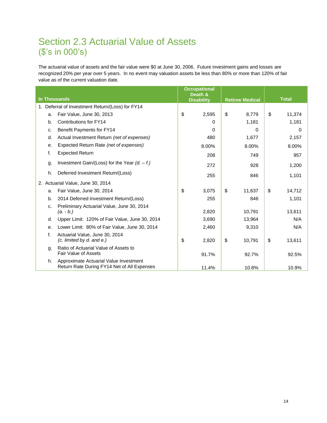### <span id="page-18-0"></span>Section 2.3 Actuarial Value of Assets (\$'s in 000's)

The actuarial value of assets and the fair value were \$0 at June 30, 2006. Future investment gains and losses are recognized 20% per year over 5 years. In no event may valuation assets be less than 80% or more than 120% of fair value as of the current valuation date.

| <b>In Thousands</b> |                                                                                       | <b>Occupational</b><br>Death &<br><b>Disability</b> |       | <b>Retiree Medical</b> |        | <b>Total</b> |        |
|---------------------|---------------------------------------------------------------------------------------|-----------------------------------------------------|-------|------------------------|--------|--------------|--------|
|                     | 1. Deferral of Investment Return/(Loss) for FY14                                      |                                                     |       |                        |        |              |        |
| a.                  | Fair Value, June 30, 2013                                                             | \$                                                  | 2,595 | \$                     | 8,779  | \$           | 11,374 |
| b.                  | Contributions for FY14                                                                |                                                     | 0     |                        | 1,181  |              | 1,181  |
| c.                  | Benefit Payments for FY14                                                             |                                                     | 0     |                        | 0      |              | 0      |
| d.                  | Actual Investment Return (net of expenses)                                            |                                                     | 480   |                        | 1,677  |              | 2,157  |
| е.                  | Expected Return Rate (net of expenses)                                                |                                                     | 8.00% |                        | 8.00%  |              | 8.00%  |
| f.                  | <b>Expected Return</b>                                                                |                                                     | 208   |                        | 749    |              | 957    |
| g.                  | Investment Gain/(Loss) for the Year $(d. - f.)$                                       |                                                     | 272   |                        | 928    |              | 1,200  |
| h.                  | Deferred Investment Return/(Loss)                                                     |                                                     | 255   |                        | 846    |              | 1,101  |
|                     | 2. Actuarial Value, June 30, 2014                                                     |                                                     |       |                        |        |              |        |
| a.                  | Fair Value, June 30, 2014                                                             | \$                                                  | 3,075 | \$                     | 11,637 | \$           | 14,712 |
| b.                  | 2014 Deferred Investment Return/(Loss)                                                |                                                     | 255   |                        | 846    |              | 1,101  |
| C.                  | Preliminary Actuarial Value, June 30, 2014                                            |                                                     |       |                        |        |              |        |
|                     | $(a. - b.)$                                                                           |                                                     | 2,820 |                        | 10,791 |              | 13,611 |
| d.                  | Upper Limit: 120% of Fair Value, June 30, 2014                                        |                                                     | 3,690 |                        | 13,964 |              | N/A    |
| е.                  | Lower Limit: 80% of Fair Value, June 30, 2014                                         |                                                     | 2,460 |                        | 9,310  |              | N/A    |
| f.                  | Actuarial Value, June 30, 2014<br>(c. limited by d. and e.)                           | \$                                                  | 2,820 | \$                     | 10,791 | \$           | 13,611 |
| g.                  | Ratio of Actuarial Value of Assets to<br>Fair Value of Assets                         |                                                     | 91.7% |                        | 92.7%  |              | 92.5%  |
| h.                  | Approximate Actuarial Value Investment<br>Return Rate During FY14 Net of All Expenses |                                                     | 11.4% |                        | 10.8%  |              | 10.9%  |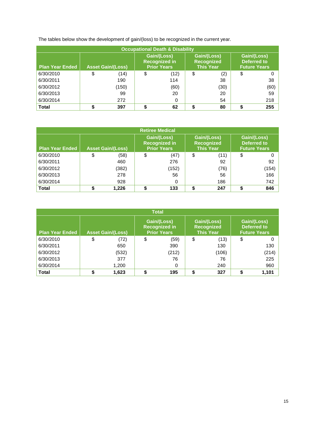The tables below show the development of gain/(loss) to be recognized in the current year.

| <b>Occupational Death &amp; Disability</b> |                          |       |                                                           |      |    |                                                      |                                                          |      |  |  |
|--------------------------------------------|--------------------------|-------|-----------------------------------------------------------|------|----|------------------------------------------------------|----------------------------------------------------------|------|--|--|
| <b>Plan Year Ended</b>                     | <b>Asset Gain/(Loss)</b> |       | Gain/(Loss)<br><b>Recognized in</b><br><b>Prior Years</b> |      |    | Gain/(Loss)<br><b>Recognized</b><br><b>This Year</b> | Gain/(Loss)<br><b>Deferred to</b><br><b>Future Years</b> |      |  |  |
| 6/30/2010                                  | \$                       | (14)  | \$                                                        | (12) | \$ | (2)                                                  | \$                                                       |      |  |  |
| 6/30/2011                                  |                          | 190   |                                                           | 114  |    | 38                                                   |                                                          | 38   |  |  |
| 6/30/2012                                  |                          | (150) |                                                           | (60) |    | (30)                                                 |                                                          | (60) |  |  |
| 6/30/2013                                  |                          | 99    |                                                           | 20   |    | 20                                                   |                                                          | 59   |  |  |
| 6/30/2014                                  |                          | 272   |                                                           | 0    |    | 54                                                   |                                                          | 218  |  |  |
| <b>Total</b>                               |                          | 397   |                                                           | 62   |    | 80                                                   | ¢                                                        | 255  |  |  |

| <b>Retiree Medical</b> |                          |       |    |                                                           |    |                                                      |    |                                                          |  |  |
|------------------------|--------------------------|-------|----|-----------------------------------------------------------|----|------------------------------------------------------|----|----------------------------------------------------------|--|--|
| <b>Plan Year Ended</b> | <b>Asset Gain/(Loss)</b> |       |    | Gain/(Loss)<br><b>Recognized in</b><br><b>Prior Years</b> |    | Gain/(Loss)<br><b>Recognized</b><br><b>This Year</b> |    | Gain/(Loss)<br><b>Deferred to</b><br><b>Future Years</b> |  |  |
| 6/30/2010              | \$                       | (58)  | \$ | (47)                                                      | \$ | (11)                                                 | \$ |                                                          |  |  |
| 6/30/2011              |                          | 460   |    | 276                                                       |    | 92                                                   |    | 92                                                       |  |  |
| 6/30/2012              |                          | (382) |    | (152)                                                     |    | (76)                                                 |    | (154)                                                    |  |  |
| 6/30/2013              |                          | 278   |    | 56                                                        |    | 56                                                   |    | 166                                                      |  |  |
| 6/30/2014              |                          | 928   |    | 0                                                         |    | 186                                                  |    | 742                                                      |  |  |
| <b>Total</b>           |                          | 1.226 |    | 133                                                       |    | 247                                                  |    | 846                                                      |  |  |

| <b>Total</b>           |    |                          |    |                                                           |    |                                                      |    |                                                          |  |  |  |
|------------------------|----|--------------------------|----|-----------------------------------------------------------|----|------------------------------------------------------|----|----------------------------------------------------------|--|--|--|
| <b>Plan Year Ended</b> |    | <b>Asset Gain/(Loss)</b> |    | Gain/(Loss)<br><b>Recognized in</b><br><b>Prior Years</b> |    | Gain/(Loss)<br><b>Recognized</b><br><b>This Year</b> |    | Gain/(Loss)<br><b>Deferred to</b><br><b>Future Years</b> |  |  |  |
| 6/30/2010              | \$ | (72)                     | \$ | (59)                                                      | \$ | (13)                                                 | \$ |                                                          |  |  |  |
| 6/30/2011              |    | 650                      |    | 390                                                       |    | 130                                                  |    | 130                                                      |  |  |  |
| 6/30/2012              |    | (532)                    |    | (212)                                                     |    | (106)                                                |    | (214)                                                    |  |  |  |
| 6/30/2013              |    | 377                      |    | 76                                                        |    | 76                                                   |    | 225                                                      |  |  |  |
| 6/30/2014              |    | 1,200                    |    | 0                                                         |    | 240                                                  |    | 960                                                      |  |  |  |
| <b>Total</b>           |    | 1,623                    |    | 195                                                       | S  | 327                                                  |    | 1,101                                                    |  |  |  |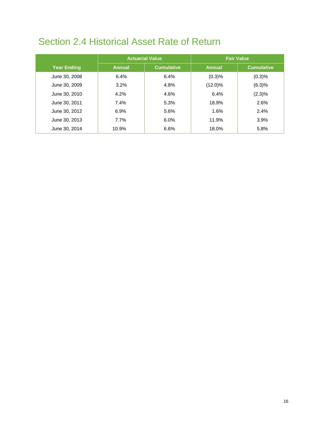## <span id="page-20-0"></span>Section 2.4 Historical Asset Rate of Return

|                    |               | <b>Actuarial Value</b> | <b>Fair Value</b> |                   |  |  |
|--------------------|---------------|------------------------|-------------------|-------------------|--|--|
| <b>Year Ending</b> | <b>Annual</b> | <b>Cumulative</b>      | <b>Annual</b>     | <b>Cumulative</b> |  |  |
| June 30, 2008      | 6.4%          | 6.4%                   | (0.3)%            | (0.3)%            |  |  |
| June 30, 2009      | 3.2%          | 4.8%                   | $(12.0)\%$        | (6.3)%            |  |  |
| June 30, 2010      | $4.2\%$       | 4.6%                   | 6.4%              | (2.3)%            |  |  |
| June 30, 2011      | 7.4%          | 5.3%                   | 18.9%             | 2.6%              |  |  |
| June 30, 2012      | 6.9%          | 5.6%                   | 1.6%              | 2.4%              |  |  |
| June 30, 2013      | 7.7%          | 6.0%                   | 11.9%             | 3.9%              |  |  |
| June 30, 2014      | 10.9%         | 6.6%                   | 18.0%             | 5.8%              |  |  |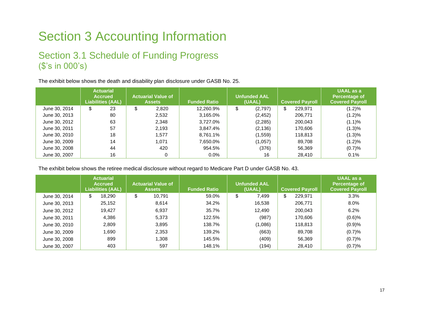## Section 3 Accounting Information

### Section 3.1 Schedule of Funding Progress (\$'s in 000's)

The exhibit below shows the death and disability plan disclosure under GASB No. 25.

<span id="page-21-0"></span>

|               | <b>Actuarial</b><br><b>Accrued</b><br>Liabilities (AAL) | <b>Actuarial Value of</b><br><b>Assets</b> | <b>Funded Ratio</b> | <b>Unfunded AAL</b><br>(UAAL) | <b>Covered Payroll</b> | <b>UAAL</b> as a<br>Percentage of<br><b>Covered Payroll</b> |
|---------------|---------------------------------------------------------|--------------------------------------------|---------------------|-------------------------------|------------------------|-------------------------------------------------------------|
| June 30, 2014 | 23<br>\$                                                | 2,820<br>\$                                | 12,260.9%           | \$<br>(2,797)                 | 229.971<br>\$          | (1.2)%                                                      |
| June 30, 2013 | 80                                                      | 2,532                                      | 3,165.0%            | (2, 452)                      | 206,771                | (1.2)%                                                      |
| June 30, 2012 | 63                                                      | 2,348                                      | 3,727.0%            | (2, 285)                      | 200,043                | (1.1)%                                                      |
| June 30, 2011 | 57                                                      | 2,193                                      | 3,847.4%            | (2, 136)                      | 170,606                | (1.3)%                                                      |
| June 30, 2010 | 18                                                      | .577                                       | 8.761.1%            | (1, 559)                      | 118,813                | (1.3)%                                                      |
| June 30, 2009 | 14                                                      | 1.071                                      | 7,650.0%            | (1,057)                       | 89,708                 | (1.2)%                                                      |
| June 30, 2008 | 44                                                      | 420                                        | 954.5%              | (376)                         | 56,369                 | (0.7)%                                                      |
| June 30, 2007 | 16                                                      | 0                                          | $0.0\%$             | 16                            | 28,410                 | 0.1%                                                        |

<span id="page-21-1"></span>The exhibit below shows the retiree medical disclosure without regard to Medicare Part D under GASB No. 43.

|               | <b>Actuarial</b><br><b>Accrued</b><br><b>Liabilities (AAL)</b> | <b>Actuarial Value of</b><br><b>Assets</b> | <b>Funded Ratio</b> | <b>Unfunded AAL</b><br>(UAAL) | <b>Covered Payroll</b> | <b>UAAL</b> as a<br>Percentage of<br><b>Covered Payroll</b> |
|---------------|----------------------------------------------------------------|--------------------------------------------|---------------------|-------------------------------|------------------------|-------------------------------------------------------------|
| June 30, 2014 | \$<br>18,290                                                   | \$<br>10,791                               | 59.0%               | \$<br>7,499                   | \$<br>229,971          | 3.3%                                                        |
| June 30, 2013 | 25,152                                                         | 8,614                                      | 34.2%               | 16,538                        | 206,771                | 8.0%                                                        |
| June 30, 2012 | 19,427                                                         | 6,937                                      | 35.7%               | 12,490                        | 200,043                | 6.2%                                                        |
| June 30, 2011 | 4,386                                                          | 5.373                                      | 122.5%              | (987)                         | 170,606                | (0.6)%                                                      |
| June 30, 2010 | 2,809                                                          | 3,895                                      | 138.7%              | (1,086)                       | 118.813                | (0.9)%                                                      |
| June 30, 2009 | 1,690                                                          | 2,353                                      | 139.2%              | (663)                         | 89,708                 | (0.7)%                                                      |
| June 30, 2008 | 899                                                            | 308. ا                                     | 145.5%              | (409)                         | 56,369                 | (0.7)%                                                      |
| June 30, 2007 | 403                                                            | 597                                        | 148.1%              | (194)                         | 28,410                 | (0.7)%                                                      |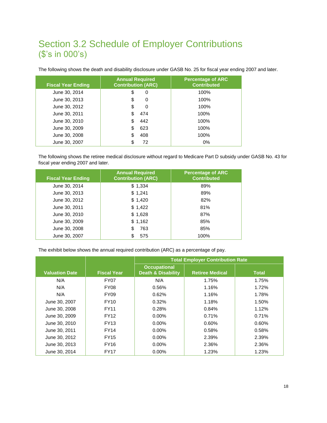### <span id="page-22-0"></span>Section 3.2 Schedule of Employer Contributions (\$'s in 000's)

The following shows the death and disability disclosure under GASB No. 25 for fiscal year ending 2007 and later.

| <b>Fiscal Year Ending</b> | <b>Annual Required</b><br><b>Contribution (ARC)</b> | <b>Percentage of ARC</b><br><b>Contributed</b> |
|---------------------------|-----------------------------------------------------|------------------------------------------------|
| June 30, 2014             | \$<br>0                                             | 100%                                           |
| June 30, 2013             | 0<br>S                                              | 100%                                           |
| June 30, 2012             | \$<br>0                                             | 100%                                           |
| June 30, 2011             | 474                                                 | 100%                                           |
| June 30, 2010             | 442                                                 | $100\%$                                        |
| June 30, 2009             | 623                                                 | 100%                                           |
| June 30, 2008             | 408                                                 | 100%                                           |
| June 30, 2007             | 72                                                  | 0%                                             |

The following shows the retiree medical disclosure without regard to Medicare Part D subsidy under GASB No. 43 for fiscal year ending 2007 and later.

| <b>Fiscal Year Ending</b> | <b>Annual Required</b><br><b>Contribution (ARC)</b> | <b>Percentage of ARC</b><br><b>Contributed</b> |
|---------------------------|-----------------------------------------------------|------------------------------------------------|
| June 30, 2014             | \$1,334                                             | 89%                                            |
| June 30, 2013             | \$1,241                                             | 89%                                            |
| June 30, 2012             | \$1,420                                             | 82%                                            |
| June 30, 2011             | \$1,422                                             | 81%                                            |
| June 30, 2010             | \$1,628                                             | 87%                                            |
| June 30, 2009             | \$1,162                                             | 85%                                            |
| June 30, 2008             | 763<br>S                                            | 85%                                            |
| June 30, 2007             | 575                                                 | 100%                                           |

The exhibit below shows the annual required contribution (ARC) as a percentage of pay.

|                       |                    | <b>Total Employer Contribution Rate</b>              |                        |              |  |  |  |  |
|-----------------------|--------------------|------------------------------------------------------|------------------------|--------------|--|--|--|--|
| <b>Valuation Date</b> | <b>Fiscal Year</b> | <b>Occupational</b><br><b>Death &amp; Disability</b> | <b>Retiree Medical</b> | <b>Total</b> |  |  |  |  |
| N/A                   | <b>FY07</b>        | N/A                                                  | 1.75%                  | 1.75%        |  |  |  |  |
| N/A                   | <b>FY08</b>        | 0.56%                                                | 1.16%                  | 1.72%        |  |  |  |  |
| N/A                   | <b>FY09</b>        | 0.62%                                                | 1.16%                  | 1.78%        |  |  |  |  |
| June 30, 2007         | <b>FY10</b>        | 0.32%                                                | 1.18%                  | 1.50%        |  |  |  |  |
| June 30, 2008         | <b>FY11</b>        | 0.28%                                                | 0.84%                  | 1.12%        |  |  |  |  |
| June 30, 2009         | <b>FY12</b>        | $0.00\%$                                             | 0.71%                  | 0.71%        |  |  |  |  |
| June 30, 2010         | <b>FY13</b>        | $0.00\%$                                             | 0.60%                  | 0.60%        |  |  |  |  |
| June 30, 2011         | <b>FY14</b>        | $0.00\%$                                             | 0.58%                  | 0.58%        |  |  |  |  |
| June 30, 2012         | <b>FY15</b>        | $0.00\%$                                             | 2.39%                  | 2.39%        |  |  |  |  |
| June 30, 2013         | <b>FY16</b>        | $0.00\%$                                             | 2.36%                  | 2.36%        |  |  |  |  |
| June 30, 2014         | <b>FY17</b>        | $0.00\%$                                             | 1.23%                  | 1.23%        |  |  |  |  |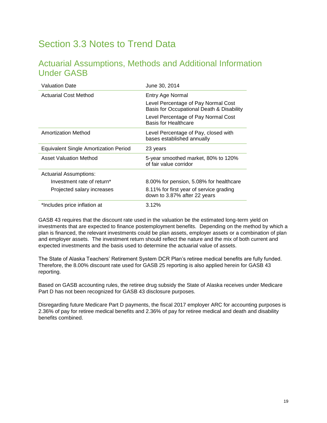### <span id="page-23-0"></span>Section 3.3 Notes to Trend Data

### Actuarial Assumptions, Methods and Additional Information Under GASB

| <b>Valuation Date</b>                        | June 30, 2014                                                                    |
|----------------------------------------------|----------------------------------------------------------------------------------|
| Actuarial Cost Method                        | Entry Age Normal                                                                 |
|                                              | Level Percentage of Pay Normal Cost<br>Basis for Occupational Death & Disability |
|                                              | Level Percentage of Pay Normal Cost<br>Basis for Healthcare                      |
| <b>Amortization Method</b>                   | Level Percentage of Pay, closed with<br>bases established annually               |
| <b>Equivalent Single Amortization Period</b> | 23 years                                                                         |
| <b>Asset Valuation Method</b>                | 5-year smoothed market, 80% to 120%<br>of fair value corridor                    |
| Actuarial Assumptions:                       |                                                                                  |
| Investment rate of return*                   | 8.00% for pension, 5.08% for healthcare                                          |
| Projected salary increases                   | 8.11% for first year of service grading<br>down to 3.87% after 22 years          |
| *Includes price inflation at                 | 3.12%                                                                            |

GASB 43 requires that the discount rate used in the valuation be the estimated long-term yield on investments that are expected to finance postemployment benefits. Depending on the method by which a plan is financed, the relevant investments could be plan assets, employer assets or a combination of plan and employer assets. The investment return should reflect the nature and the mix of both current and expected investments and the basis used to determine the actuarial value of assets.

The State of Alaska Teachers' Retirement System DCR Plan's retiree medical benefits are fully funded. Therefore, the 8.00% discount rate used for GASB 25 reporting is also applied herein for GASB 43 reporting.

Based on GASB accounting rules, the retiree drug subsidy the State of Alaska receives under Medicare Part D has not been recognized for GASB 43 disclosure purposes.

Disregarding future Medicare Part D payments, the fiscal 2017 employer ARC for accounting purposes is 2.36% of pay for retiree medical benefits and 2.36% of pay for retiree medical and death and disability benefits combined.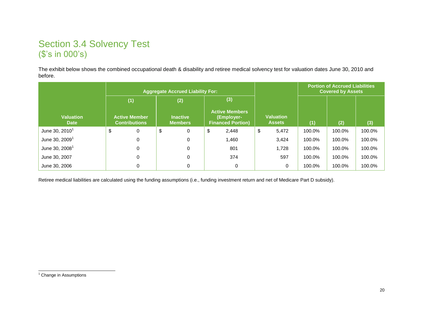### Section 3.4 Solvency Test (\$'s in 000's)

The exhibit below shows the combined occupational death & disability and retiree medical solvency test for valuation dates June 30, 2010 and before.

|                                 | <b>Aggregate Accrued Liability For:</b> |                                              |               |                                   |    |                                                                 |    |                            | <b>Portion of Accrued Liabilities</b><br><b>Covered by Assets</b> |        |        |  |
|---------------------------------|-----------------------------------------|----------------------------------------------|---------------|-----------------------------------|----|-----------------------------------------------------------------|----|----------------------------|-------------------------------------------------------------------|--------|--------|--|
|                                 |                                         | (2)<br>(1)                                   |               |                                   |    | (3)                                                             |    |                            |                                                                   |        |        |  |
| <b>Valuation</b><br><b>Date</b> |                                         | <b>Active Member</b><br><b>Contributions</b> |               | <b>Inactive</b><br><b>Members</b> |    | <b>Active Members</b><br>(Employer-<br><b>Financed Portion)</b> |    | Valuation<br><b>Assets</b> | (1)                                                               | (2)    | (3)    |  |
| June 30, $2010^1$               | \$                                      | $\mathbf 0$                                  | $\frac{1}{2}$ | 0                                 | \$ | 2,448                                                           | \$ | 5,472                      | 100.0%                                                            | 100.0% | 100.0% |  |
| June 30, $20091$                |                                         | $\Omega$                                     |               | 0                                 |    | 1,460                                                           |    | 3,424                      | 100.0%                                                            | 100.0% | 100.0% |  |
| June 30, $2008^1$               |                                         | $\Omega$                                     |               | 0                                 |    | 801                                                             |    | 1.728                      | 100.0%                                                            | 100.0% | 100.0% |  |
| June 30, 2007                   |                                         | 0                                            |               | 0                                 |    | 374                                                             |    | 597                        | 100.0%                                                            | 100.0% | 100.0% |  |
| June 30, 2006                   |                                         | 0                                            |               | 0                                 |    | 0                                                               |    | 0                          | 100.0%                                                            | 100.0% | 100.0% |  |

<span id="page-24-0"></span>Retiree medical liabilities are calculated using the funding assumptions (i.e., funding investment return and net of Medicare Part D subsidy).

l <sup>1</sup> Change in Assumptions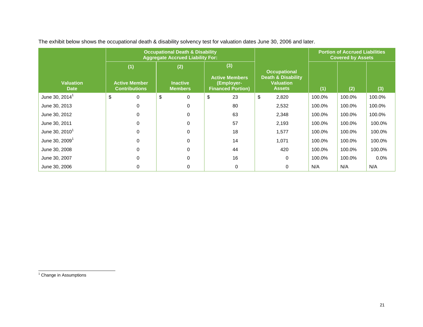|                                 |                                                     | <b>Occupational Death &amp; Disability</b><br><b>Aggregate Accrued Liability For:</b> |                                                                        |                                                                                           | <b>Portion of Accrued Liabilities</b><br><b>Covered by Assets</b> |        |        |  |
|---------------------------------|-----------------------------------------------------|---------------------------------------------------------------------------------------|------------------------------------------------------------------------|-------------------------------------------------------------------------------------------|-------------------------------------------------------------------|--------|--------|--|
| <b>Valuation</b><br><b>Date</b> | (1)<br><b>Active Member</b><br><b>Contributions</b> | (2)<br><b>Inactive</b><br><b>Members</b>                                              | (3)<br><b>Active Members</b><br>(Employer-<br><b>Financed Portion)</b> | <b>Occupational</b><br><b>Death &amp; Disability</b><br><b>Valuation</b><br><b>Assets</b> | (1)                                                               | (2)    | (3)    |  |
| June 30, 2014 <sup>1</sup>      | \$<br>0                                             | \$<br>$\mathbf 0$                                                                     | \$<br>23                                                               | \$<br>2,820                                                                               | 100.0%                                                            | 100.0% | 100.0% |  |
| June 30, 2013                   | 0                                                   | 0                                                                                     | 80                                                                     | 2,532                                                                                     | 100.0%                                                            | 100.0% | 100.0% |  |
| June 30, 2012                   | 0                                                   | $\Omega$                                                                              | 63                                                                     | 2,348                                                                                     | 100.0%                                                            | 100.0% | 100.0% |  |
| June 30, 2011                   | 0                                                   | $\Omega$                                                                              | 57                                                                     | 2,193                                                                                     | 100.0%                                                            | 100.0% | 100.0% |  |
| June 30, $2010^1$               | 0                                                   | $\Omega$                                                                              | 18                                                                     | 1,577                                                                                     | 100.0%                                                            | 100.0% | 100.0% |  |
| June 30, $20091$                | 0                                                   | $\Omega$                                                                              | 14                                                                     | 1,071                                                                                     | 100.0%                                                            | 100.0% | 100.0% |  |
| June 30, 2008                   | 0                                                   | $\Omega$                                                                              | 44                                                                     | 420                                                                                       | 100.0%                                                            | 100.0% | 100.0% |  |
| June 30, 2007                   | 0                                                   | $\Omega$                                                                              | 16                                                                     | $\mathbf 0$                                                                               | 100.0%                                                            | 100.0% | 0.0%   |  |
| June 30, 2006                   |                                                     | $\Omega$                                                                              | $\Omega$                                                               | 0                                                                                         | N/A                                                               | N/A    | N/A    |  |

The exhibit below shows the occupational death & disability solvency test for valuation dates June 30, 2006 and later.

<sup>1</sup> Change in Assumptions

l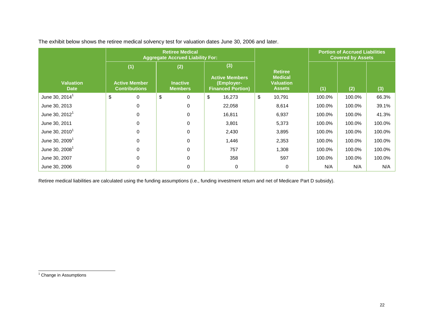|                                 |                                                                                                 | <b>Retiree Medical</b><br><b>Aggregate Accrued Liability For:</b> |                                                                        | <b>Portion of Accrued Liabilities</b><br><b>Covered by Assets</b>     |        |        |        |
|---------------------------------|-------------------------------------------------------------------------------------------------|-------------------------------------------------------------------|------------------------------------------------------------------------|-----------------------------------------------------------------------|--------|--------|--------|
| <b>Valuation</b><br><b>Date</b> | (1)<br>(2)<br><b>Inactive</b><br><b>Active Member</b><br><b>Contributions</b><br><b>Members</b> |                                                                   | (3)<br><b>Active Members</b><br>(Employer-<br><b>Financed Portion)</b> | <b>Retiree</b><br><b>Medical</b><br><b>Valuation</b><br><b>Assets</b> | (1)    | (2)    | (3)    |
| June 30, $2014^1$               | \$<br>0                                                                                         | \$<br>0                                                           | \$<br>16,273                                                           | \$<br>10,791                                                          | 100.0% | 100.0% | 66.3%  |
| June 30, 2013                   | 0                                                                                               | 0                                                                 | 22,058                                                                 | 8,614                                                                 | 100.0% | 100.0% | 39.1%  |
| June 30, $2012^1$               | 0                                                                                               | $\Omega$                                                          | 16,811                                                                 | 6,937                                                                 | 100.0% | 100.0% | 41.3%  |
| June 30, 2011                   | 0                                                                                               | 0                                                                 | 3,801                                                                  | 5,373                                                                 | 100.0% | 100.0% | 100.0% |
| June 30, $2010^1$               | 0                                                                                               | 0                                                                 | 2,430                                                                  | 3,895                                                                 | 100.0% | 100.0% | 100.0% |
| June 30, $20091$                | 0                                                                                               | $\Omega$                                                          | 1,446                                                                  | 2,353                                                                 | 100.0% | 100.0% | 100.0% |
| June 30, $2008^1$               | 0                                                                                               | 0                                                                 | 757                                                                    | 1,308                                                                 | 100.0% | 100.0% | 100.0% |
| June 30, 2007                   | 0                                                                                               | $\Omega$                                                          | 358                                                                    | 597                                                                   | 100.0% | 100.0% | 100.0% |
| June 30, 2006                   |                                                                                                 | $\Omega$                                                          | 0                                                                      | 0                                                                     | N/A    | N/A    | N/A    |

The exhibit below shows the retiree medical solvency test for valuation dates June 30, 2006 and later.

Retiree medical liabilities are calculated using the funding assumptions (i.e., funding investment return and net of Medicare Part D subsidy).

l <sup>1</sup> Change in Assumptions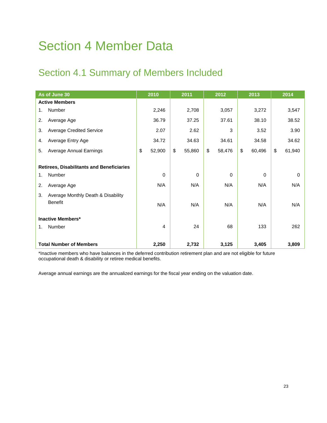## <span id="page-27-0"></span>Section 4 Member Data

## <span id="page-27-1"></span>Section 4.1 Summary of Members Included

| As of June 30                                       | 2010           | 2011         | 2012         | 2013         | 2014         |
|-----------------------------------------------------|----------------|--------------|--------------|--------------|--------------|
| <b>Active Members</b>                               |                |              |              |              |              |
| Number<br>1.                                        | 2,246          | 2,708        | 3,057        | 3,272        | 3,547        |
| 2.<br>Average Age                                   | 36.79          | 37.25        | 37.61        | 38.10        | 38.52        |
| 3.<br><b>Average Credited Service</b>               | 2.07           | 2.62         | 3            | 3.52         | 3.90         |
| Average Entry Age<br>4.                             | 34.72          | 34.63        | 34.61        | 34.58        | 34.62        |
| Average Annual Earnings<br>5.                       | \$<br>52,900   | \$<br>55,860 | \$<br>58,476 | \$<br>60,496 | \$<br>61,940 |
| <b>Retirees, Disabilitants and Beneficiaries</b>    |                |              |              |              |              |
| Number<br>1.                                        | $\Omega$       | 0            | $\Omega$     | $\Omega$     | 0            |
| 2.<br>Average Age                                   | N/A            | N/A          | N/A          | N/A          | N/A          |
| Average Monthly Death & Disability<br>3.<br>Benefit | N/A            | N/A          | N/A          | N/A          | N/A          |
| <b>Inactive Members*</b>                            |                |              |              |              |              |
| Number<br>1.                                        | $\overline{4}$ | 24           | 68           | 133          | 262          |
| <b>Total Number of Members</b>                      | 2,250          | 2,732        | 3,125        | 3,405        | 3,809        |

\*Inactive members who have balances in the deferred contribution retirement plan and are not eligible for future occupational death & disability or retiree medical benefits.

Average annual earnings are the annualized earnings for the fiscal year ending on the valuation date.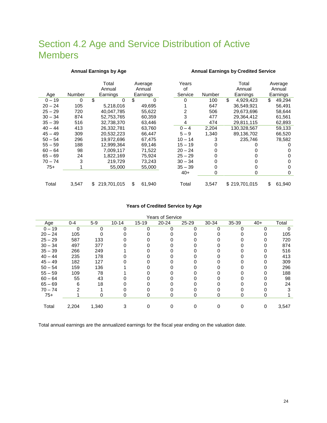### <span id="page-28-0"></span>Section 4.2 Age and Service Distribution of Active Members

#### **Annual Earnings by Age Annual Earnings by Credited Service**

|           |        | Total             | Years<br>Average |              | Total     | Average |                 |              |  |
|-----------|--------|-------------------|------------------|--------------|-----------|---------|-----------------|--------------|--|
|           |        | Annual            |                  | Annual       | οf        |         | Annual          | Annual       |  |
| Age       | Number | Earnings          |                  | Earnings     | Service   | Number  | Earnings        | Earnings     |  |
| $0 - 19$  | 0      | \$                | $\Omega$         | \$           |           | 100     | \$<br>4,929,423 | \$<br>49,294 |  |
| $20 - 24$ | 105    | 5,218,016         |                  | 49,695       |           | 647     | 36,549,921      | 56,491       |  |
| $25 - 29$ | 720    | 40.047.785        |                  | 55,622       | 2         | 506     | 29,673,696      | 58,644       |  |
| $30 - 34$ | 874    | 52,753,765        |                  | 60,359       | 3         | 477     | 29,364,412      | 61,561       |  |
| $35 - 39$ | 516    | 32,738,370        |                  | 63,446       | 4         | 474     | 29,811,115      | 62,893       |  |
| $40 - 44$ | 413    | 26,332,781        |                  | 63,760       | $0 - 4$   | 2,204   | 130,328,567     | 59,133       |  |
| $45 - 49$ | 309    | 20,532,223        |                  | 66.447       | $5 - 9$   | 1.340   | 89,136,702      | 66,520       |  |
| $50 - 54$ | 296    | 19,972,696        |                  | 67,475       | $10 - 14$ | 3       | 235,746         | 78,582       |  |
| $55 - 59$ | 188    | 12.999.364        |                  | 69,146       | $15 - 19$ |         |                 |              |  |
| $60 - 64$ | 98     | 7.009.117         |                  | 71,522       | $20 - 24$ |         |                 |              |  |
| $65 - 69$ | 24     | 1.822.169         |                  | 75.924       | $25 - 29$ |         |                 | 0            |  |
| $70 - 74$ | 3      | 219.729           |                  | 73.243       | $30 - 34$ |         |                 | 0            |  |
| $75+$     |        |                   | 55,000           | 55,000       | $35 - 39$ | 0       |                 | 0            |  |
|           |        |                   |                  |              | $40+$     | 0       | 0               | 0            |  |
| Total     | 3,547  | 219.701.015<br>\$ |                  | \$<br>61,940 | Total     | 3,547   | \$219,701.015   | \$<br>61,940 |  |

#### **Years of Credited Service by Age**

| <b>Years of Service</b> |         |          |           |           |           |       |       |       |       |       |
|-------------------------|---------|----------|-----------|-----------|-----------|-------|-------|-------|-------|-------|
| Age                     | $0 - 4$ | $5-9$    | $10 - 14$ | $15 - 19$ | $20 - 24$ | 25-29 | 30-34 | 35-39 | $40+$ | Total |
| $0 - 19$                | 0       | $\Omega$ | 0         | 0         | O         |       | 0     |       | 0     |       |
| $20 - 24$               | 105     |          |           |           |           |       |       |       | 0     | 105   |
| $25 - 29$               | 587     | 133      |           |           |           |       |       |       |       | 720   |
| $30 - 34$               | 497     | 377      |           |           |           |       |       |       |       | 874   |
| $35 - 39$               | 266     | 249      |           |           |           |       |       |       | 0     | 516   |
| $40 - 44$               | 235     | 178      |           |           |           |       |       |       | 0     | 413   |
| $45 - 49$               | 182     | 127      |           |           |           |       |       |       | 0     | 309   |
| $50 - 54$               | 159     | 136      |           |           |           |       |       |       |       | 296   |
| $55 - 59$               | 109     | 78       |           |           |           |       |       |       |       | 188   |
| $60 - 64$               | 55      | 43       |           |           |           |       |       |       |       | 98    |
| $65 - 69$               | 6       | 18       |           |           |           |       |       |       |       | 24    |
| $70 - 74$               | 2       |          |           |           |           |       |       |       |       | 3     |
| $75+$                   |         | 0        | O         | 0         | 0         | 0     | 0     | 0     | 0     |       |
|                         |         |          |           |           |           |       |       |       |       |       |
| Total                   | 2,204   | 1,340    |           | 0         |           |       |       |       | 0     | 3,547 |

Total annual earnings are the annualized earnings for the fiscal year ending on the valuation date.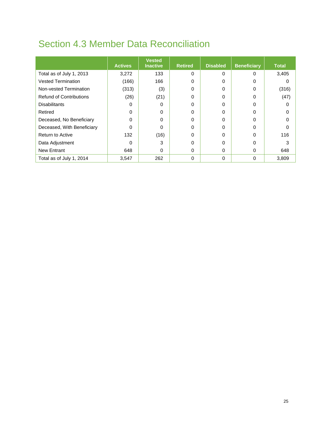## <span id="page-29-0"></span>Section 4.3 Member Data Reconciliation

|                                | <b>Actives</b> | <b>Vested</b><br><b>Inactive</b> | <b>Retired</b> | <b>Disabled</b> | <b>Beneficiary</b> | <b>Total</b> |
|--------------------------------|----------------|----------------------------------|----------------|-----------------|--------------------|--------------|
| Total as of July 1, 2013       | 3,272          | 133                              | 0              | 0               | 0                  | 3,405        |
| <b>Vested Termination</b>      | (166)          | 166                              | 0              | 0               | 0                  | 0            |
| Non-vested Termination         | (313)          | (3)                              | 0              | 0               | 0                  | (316)        |
| <b>Refund of Contributions</b> | (26)           | (21)                             | 0              | 0               | 0                  | (47)         |
| <b>Disabilitants</b>           | 0              | 0                                | 0              | 0               | O                  | $\Omega$     |
| Retired                        | 0              | 0                                | 0              | 0               | 0                  | $\Omega$     |
| Deceased, No Beneficiary       | $\Omega$       | 0                                | 0              | 0               |                    | 0            |
| Deceased, With Beneficiary     | 0              | 0                                | 0              | 0               |                    | 0            |
| <b>Return to Active</b>        | 132            | (16)                             | 0              | 0               | 0                  | 116          |
| Data Adjustment                |                | 3                                | 0              | 0               | 0                  | 3            |
| <b>New Entrant</b>             | 648            | 0                                | 0              | 0               | 0                  | 648          |
| Total as of July 1, 2014       | 3,547          | 262                              | 0              | 0               | $\Omega$           | 3,809        |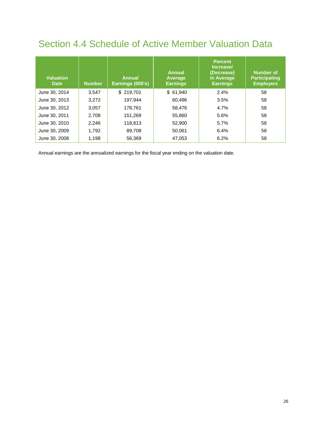### <span id="page-30-0"></span>Section 4.4 Schedule of Active Member Valuation Data

| <b>Valuation</b><br><b>Date</b> | <b>Number</b> | <b>Annual</b><br>Earnings (000's) | <b>Annual</b><br>Average<br><b>Earnings</b> | <b>Percent</b><br>Increase/<br>(Decrease)<br>in Average<br><b>Earnings</b> | <b>Number of</b><br><b>Participating</b><br><b>Employers</b> |
|---------------------------------|---------------|-----------------------------------|---------------------------------------------|----------------------------------------------------------------------------|--------------------------------------------------------------|
| June 30, 2014                   | 3.547         | \$219,701                         | \$61,940                                    | 2.4%                                                                       | 58                                                           |
| June 30, 2013                   | 3,272         | 197.944                           | 60.496                                      | 3.5%                                                                       | 58                                                           |
| June 30, 2012                   | 3,057         | 178.761                           | 58.476                                      | 4.7%                                                                       | 58                                                           |
| June 30, 2011                   | 2,708         | 151,269                           | 55,860                                      | 5.6%                                                                       | 58                                                           |
| June 30, 2010                   | 2,246         | 118,813                           | 52,900                                      | 5.7%                                                                       | 58                                                           |
| June 30, 2009                   | 1,792         | 89.708                            | 50.061                                      | 6.4%                                                                       | 58                                                           |
| June 30, 2008                   | 1,198         | 56,369                            | 47,053                                      | 6.2%                                                                       | 58                                                           |

Annual earnings are the annualized earnings for the fiscal year ending on the valuation date.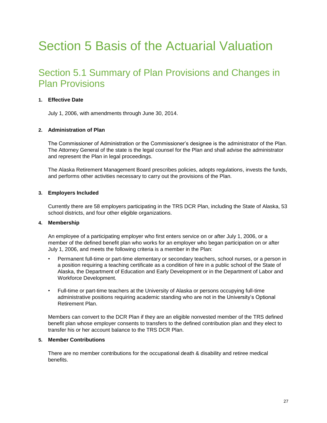## <span id="page-31-0"></span>Section 5 Basis of the Actuarial Valuation

### <span id="page-31-1"></span>Section 5.1 Summary of Plan Provisions and Changes in Plan Provisions

#### **1. Effective Date**

July 1, 2006, with amendments through June 30, 2014.

#### **2. Administration of Plan**

The Commissioner of Administration or the Commissioner's designee is the administrator of the Plan. The Attorney General of the state is the legal counsel for the Plan and shall advise the administrator and represent the Plan in legal proceedings.

The Alaska Retirement Management Board prescribes policies, adopts regulations, invests the funds, and performs other activities necessary to carry out the provisions of the Plan.

#### **3. Employers Included**

Currently there are 58 employers participating in the TRS DCR Plan, including the State of Alaska, 53 school districts, and four other eligible organizations.

#### **4. Membership**

An employee of a participating employer who first enters service on or after July 1, 2006, or a member of the defined benefit plan who works for an employer who began participation on or after July 1, 2006, and meets the following criteria is a member in the Plan:

- Permanent full-time or part-time elementary or secondary teachers, school nurses, or a person in a position requiring a teaching certificate as a condition of hire in a public school of the State of Alaska, the Department of Education and Early Development or in the Department of Labor and Workforce Development.
- Full-time or part-time teachers at the University of Alaska or persons occupying full-time administrative positions requiring academic standing who are not in the University's Optional Retirement Plan.

Members can convert to the DCR Plan if they are an eligible nonvested member of the TRS defined benefit plan whose employer consents to transfers to the defined contribution plan and they elect to transfer his or her account balance to the TRS DCR Plan.

#### **5. Member Contributions**

There are no member contributions for the occupational death & disability and retiree medical benefits.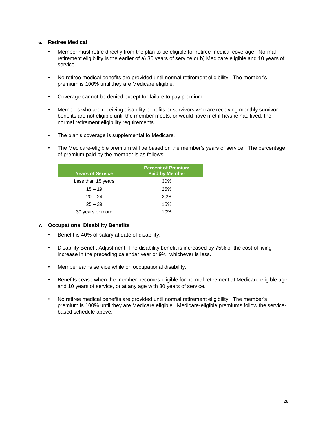#### **6. Retiree Medical**

- Member must retire directly from the plan to be eligible for retiree medical coverage. Normal retirement eligibility is the earlier of a) 30 years of service or b) Medicare eligible and 10 years of service.
- No retiree medical benefits are provided until normal retirement eligibility. The member's premium is 100% until they are Medicare eligible.
- Coverage cannot be denied except for failure to pay premium.
- Members who are receiving disability benefits or survivors who are receiving monthly survivor benefits are not eligible until the member meets, or would have met if he/she had lived, the normal retirement eligibility requirements.
- The plan's coverage is supplemental to Medicare.
- The Medicare-eligible premium will be based on the member's years of service. The percentage of premium paid by the member is as follows:

| <b>Years of Service</b> | <b>Percent of Premium</b><br><b>Paid by Member</b> |
|-------------------------|----------------------------------------------------|
| Less than 15 years      | 30%                                                |
| $15 - 19$               | 25%                                                |
| $20 - 24$               | 20%                                                |
| $25 - 29$               | 15%                                                |
| 30 years or more        | 10%                                                |

#### **7. Occupational Disability Benefits**

- Benefit is 40% of salary at date of disability.
- Disability Benefit Adjustment: The disability benefit is increased by 75% of the cost of living increase in the preceding calendar year or 9%, whichever is less.
- Member earns service while on occupational disability.
- Benefits cease when the member becomes eligible for normal retirement at Medicare-eligible age and 10 years of service, or at any age with 30 years of service.
- No retiree medical benefits are provided until normal retirement eligibility. The member's premium is 100% until they are Medicare eligible. Medicare-eligible premiums follow the servicebased schedule above.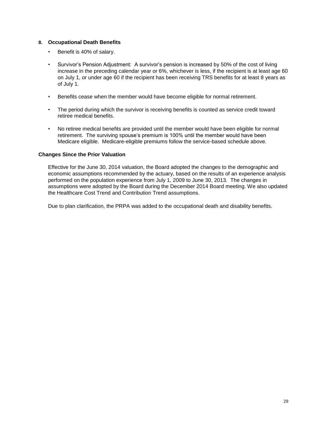#### **8. Occupational Death Benefits**

- Benefit is 40% of salary.
- Survivor's Pension Adjustment: A survivor's pension is increased by 50% of the cost of living increase in the preceding calendar year or 6%, whichever is less, if the recipient is at least age 60 on July 1, or under age 60 if the recipient has been receiving TRS benefits for at least 8 years as of July 1.
- Benefits cease when the member would have become eligible for normal retirement.
- The period during which the survivor is receiving benefits is counted as service credit toward retiree medical benefits.
- No retiree medical benefits are provided until the member would have been eligible for normal retirement. The surviving spouse's premium is 100% until the member would have been Medicare eligible. Medicare-eligible premiums follow the service-based schedule above.

#### **Changes Since the Prior Valuation**

Effective for the June 30, 2014 valuation, the Board adopted the changes to the demographic and economic assumptions recommended by the actuary, based on the results of an experience analysis performed on the population experience from July 1, 2009 to June 30, 2013. The changes in assumptions were adopted by the Board during the December 2014 Board meeting. We also updated the Healthcare Cost Trend and Contribution Trend assumptions.

Due to plan clarification, the PRPA was added to the occupational death and disability benefits.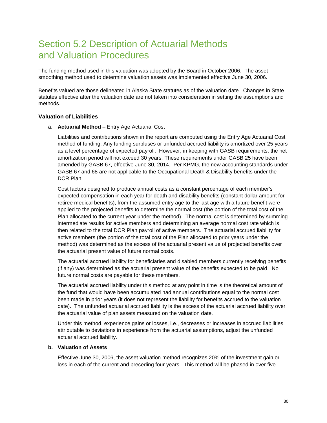### <span id="page-34-0"></span>Section 5.2 Description of Actuarial Methods and Valuation Procedures

The funding method used in this valuation was adopted by the Board in October 2006. The asset smoothing method used to determine valuation assets was implemented effective June 30, 2006.

Benefits valued are those delineated in Alaska State statutes as of the valuation date. Changes in State statutes effective after the valuation date are not taken into consideration in setting the assumptions and methods.

#### **Valuation of Liabilities**

a. **Actuarial Method** – Entry Age Actuarial Cost

Liabilities and contributions shown in the report are computed using the Entry Age Actuarial Cost method of funding. Any funding surpluses or unfunded accrued liability is amortized over 25 years as a level percentage of expected payroll. However, in keeping with GASB requirements, the net amortization period will not exceed 30 years. These requirements under GASB 25 have been amended by GASB 67, effective June 30, 2014. Per KPMG, the new accounting standards under GASB 67 and 68 are not applicable to the Occupational Death & Disability benefits under the DCR Plan.

Cost factors designed to produce annual costs as a constant percentage of each member's expected compensation in each year for death and disability benefits (constant dollar amount for retiree medical benefits), from the assumed entry age to the last age with a future benefit were applied to the projected benefits to determine the normal cost (the portion of the total cost of the Plan allocated to the current year under the method). The normal cost is determined by summing intermediate results for active members and determining an average normal cost rate which is then related to the total DCR Plan payroll of active members. The actuarial accrued liability for active members (the portion of the total cost of the Plan allocated to prior years under the method) was determined as the excess of the actuarial present value of projected benefits over the actuarial present value of future normal costs.

The actuarial accrued liability for beneficiaries and disabled members currently receiving benefits (if any) was determined as the actuarial present value of the benefits expected to be paid. No future normal costs are payable for these members.

The actuarial accrued liability under this method at any point in time is the theoretical amount of the fund that would have been accumulated had annual contributions equal to the normal cost been made in prior years (it does not represent the liability for benefits accrued to the valuation date). The unfunded actuarial accrued liability is the excess of the actuarial accrued liability over the actuarial value of plan assets measured on the valuation date.

Under this method, experience gains or losses, i.e., decreases or increases in accrued liabilities attributable to deviations in experience from the actuarial assumptions, adjust the unfunded actuarial accrued liability.

#### **b. Valuation of Assets**

Effective June 30, 2006, the asset valuation method recognizes 20% of the investment gain or loss in each of the current and preceding four years. This method will be phased in over five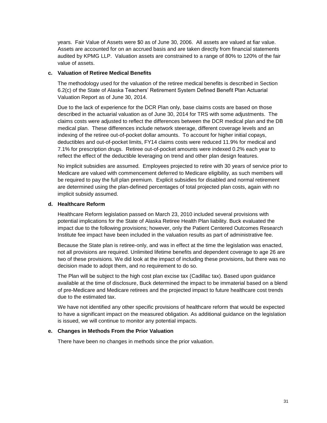years. Fair Value of Assets were \$0 as of June 30, 2006. All assets are valued at fiar value. Assets are accounted for on an accrued basis and are taken directly from financial statements audited by KPMG LLP. Valuation assets are constrained to a range of 80% to 120% of the fair value of assets.

#### **c. Valuation of Retiree Medical Benefits**

The methodology used for the valuation of the retiree medical benefits is described in Section 6.2(c) of the State of Alaska Teachers' Retirement System Defined Benefit Plan Actuarial Valuation Report as of June 30, 2014.

Due to the lack of experience for the DCR Plan only, base claims costs are based on those described in the actuarial valuation as of June 30, 2014 for TRS with some adjustments. The claims costs were adjusted to reflect the differences between the DCR medical plan and the DB medical plan. These differences include network steerage, different coverage levels and an indexing of the retiree out-of-pocket dollar amounts. To account for higher initial copays, deductibles and out-of-pocket limits, FY14 claims costs were reduced 11.9% for medical and 7.1% for prescription drugs. Retiree out-of-pocket amounts were indexed 0.2% each year to reflect the effect of the deductible leveraging on trend and other plan design features.

No implicit subsidies are assumed. Employees projected to retire with 30 years of service prior to Medicare are valued with commencement deferred to Medicare eligibility, as such members will be required to pay the full plan premium. Explicit subsidies for disabled and normal retirement are determined using the plan-defined percentages of total projected plan costs, again with no implicit subsidy assumed.

#### **d. Healthcare Reform**

Healthcare Reform legislation passed on March 23, 2010 included several provisions with potential implications for the State of Alaska Retiree Health Plan liability. Buck evaluated the impact due to the following provisions; however, only the Patient Centered Outcomes Research Institute fee impact have been included in the valuation results as part of administrative fee.

Because the State plan is retiree-only, and was in effect at the time the legislation was enacted, not all provisions are required. Unlimited lifetime benefits and dependent coverage to age 26 are two of these provisions. We did look at the impact of including these provisions, but there was no decision made to adopt them, and no requirement to do so.

The Plan will be subject to the high cost plan excise tax (Cadillac tax). Based upon guidance available at the time of disclosure, Buck determined the impact to be immaterial based on a blend of pre-Medicare and Medicare retirees and the projected impact to future healthcare cost trends due to the estimated tax.

We have not identified any other specific provisions of healthcare reform that would be expected to have a significant impact on the measured obligation. As additional guidance on the legislation is issued, we will continue to monitor any potential impacts.

#### **e. Changes in Methods From the Prior Valuation**

There have been no changes in methods since the prior valuation.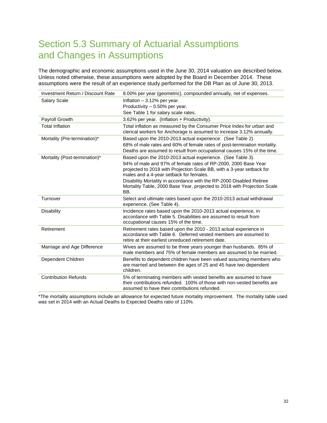### <span id="page-36-0"></span>Section 5.3 Summary of Actuarial Assumptions and Changes in Assumptions

The demographic and economic assumptions used in the June 30, 2014 valuation are described below. Unless noted otherwise, these assumptions were adopted by the Board in December 2014. These assumptions were the result of an experience study performed for the DB Plan as of June 30, 2013.

| <b>Salary Scale</b><br>Inflation $-3.12%$ per year.                                                                                                                           |  |
|-------------------------------------------------------------------------------------------------------------------------------------------------------------------------------|--|
| Productivity - 0.50% per year.                                                                                                                                                |  |
| See Table 1 for salary scale rates.                                                                                                                                           |  |
| Payroll Growth<br>3.62% per year. (Inflation + Productivity).                                                                                                                 |  |
| <b>Total Inflation</b><br>Total inflation as measured by the Consumer Price Index for urban and<br>clerical workers for Anchorage is assumed to increase 3.12% annually.      |  |
| Mortality (Pre-termination)*<br>Based upon the 2010-2013 actual experience. (See Table 2).                                                                                    |  |
| 68% of male rates and 60% of female rates of post-termination mortality.<br>Deaths are assumed to result from occupational causes 15% of the time.                            |  |
| Mortality (Post-termination)*<br>Based upon the 2010-2013 actual experience. (See Table 3).                                                                                   |  |
| 94% of male and 97% of female rates of RP-2000, 2000 Base Year                                                                                                                |  |
| projected to 2018 with Projection Scale BB, with a 3-year setback for                                                                                                         |  |
| males and a 4-year setback for females.                                                                                                                                       |  |
| Disability Mortality in accordance with the RP-2000 Disabled Retiree                                                                                                          |  |
| Mortality Table, 2000 Base Year, projected to 2018 with Projection Scale<br>BB.                                                                                               |  |
| Turnover<br>Select and ultimate rates based upon the 2010-2013 actual withdrawal<br>experience. (See Table 4).                                                                |  |
| <b>Disability</b><br>Incidence rates based upon the 2010-2013 actual experience, in                                                                                           |  |
| accordance with Table 5. Disabilities are assumed to result from                                                                                                              |  |
| occupational causes 15% of the time.                                                                                                                                          |  |
| Retirement<br>Retirement rates based upon the 2010 - 2013 actual experience in                                                                                                |  |
| accordance with Table 6. Deferred vested members are assumed to<br>retire at their earliest unreduced retirement date.                                                        |  |
| Wives are assumed to be three years younger than husbands. 85% of                                                                                                             |  |
| Marriage and Age Difference<br>male members and 75% of female members are assumed to be married.                                                                              |  |
| Dependent Children<br>Benefits to dependent children have been valued assuming members who                                                                                    |  |
| are married and between the ages of 25 and 45 have two dependent<br>children.                                                                                                 |  |
|                                                                                                                                                                               |  |
| <b>Contribution Refunds</b><br>5% of terminating members with vested benefits are assumed to have<br>their contributions refunded. 100% of those with non-vested benefits are |  |
| assumed to have their contributions refunded.                                                                                                                                 |  |

\*The mortality assumptions include an allowance for expected future mortality improvement. The mortality table used was set in 2014 with an Actual Deaths to Expected Deaths ratio of 110%.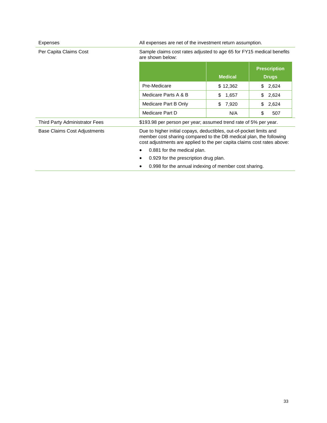| Expenses                       | All expenses are net of the investment return assumption.                                                                                                                                                            |                |                                     |  |
|--------------------------------|----------------------------------------------------------------------------------------------------------------------------------------------------------------------------------------------------------------------|----------------|-------------------------------------|--|
| Per Capita Claims Cost         | Sample claims cost rates adjusted to age 65 for FY15 medical benefits<br>are shown below:                                                                                                                            |                |                                     |  |
|                                |                                                                                                                                                                                                                      | <b>Medical</b> | <b>Prescription</b><br><b>Drugs</b> |  |
|                                | Pre-Medicare                                                                                                                                                                                                         | \$12,362       | \$2,624                             |  |
|                                | Medicare Parts A & B                                                                                                                                                                                                 | \$<br>1,657    | \$<br>2,624                         |  |
|                                | Medicare Part B Only                                                                                                                                                                                                 | \$<br>7,920    | \$<br>2,624                         |  |
|                                | Medicare Part D                                                                                                                                                                                                      | N/A            | \$<br>507                           |  |
| Third Party Administrator Fees | \$193.98 per person per year; assumed trend rate of 5% per year.                                                                                                                                                     |                |                                     |  |
| Base Claims Cost Adjustments   | Due to higher initial copays, deductibles, out-of-pocket limits and<br>member cost sharing compared to the DB medical plan, the following<br>cost adjustments are applied to the per capita claims cost rates above: |                |                                     |  |
|                                | 0.881 for the medical plan.                                                                                                                                                                                          |                |                                     |  |
|                                | 0.929 for the prescription drug plan.                                                                                                                                                                                |                |                                     |  |
|                                | 0.998 for the annual indexing of member cost sharing.                                                                                                                                                                |                |                                     |  |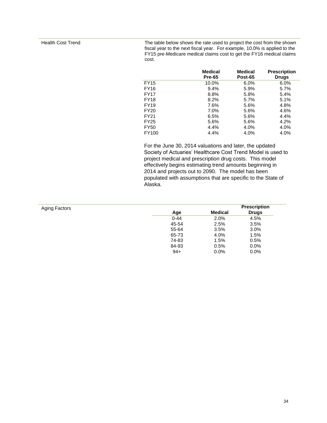Health Cost Trend The table below shows the rate used to project the cost from the shown fiscal year to the next fiscal year. For example, 10.0% is applied to the FY15 pre-Medicare medical claims cost to get the FY16 medical claims cost.

|             | <b>Medical</b><br><b>Pre-65</b> | <b>Medical</b><br>Post-65 | <b>Prescription</b><br><b>Drugs</b> |
|-------------|---------------------------------|---------------------------|-------------------------------------|
| <b>FY15</b> | 10.0%                           | 6.0%                      | 6.0%                                |
| FY16        | 9.4%                            | 5.9%                      | 5.7%                                |
| FY17        | 8.8%                            | 5.8%                      | 5.4%                                |
| FY18        | 8.2%                            | 5.7%                      | 5.1%                                |
| FY19        | 7.6%                            | 5.6%                      | 4.8%                                |
| FY20        | 7.0%                            | 5.6%                      | 4.6%                                |
| FY21        | 6.5%                            | 5.6%                      | 4.4%                                |
| FY25        | 5.6%                            | 5.6%                      | 4.2%                                |
| <b>FY50</b> | 4.4%                            | 4.0%                      | 4.0%                                |
| FY100       | 4.4%                            | 4.0%                      | 4.0%                                |

For the June 30, 2014 valuations and later, the updated Society of Actuaries' Healthcare Cost Trend Model is used to project medical and prescription drug costs. This model effectively begins estimating trend amounts beginning in 2014 and projects out to 2090. The model has been populated with assumptions that are specific to the State of Alaska.

| Aging Factors |          |                | <b>Prescription</b> |
|---------------|----------|----------------|---------------------|
|               | Age      | <b>Medical</b> | <b>Drugs</b>        |
|               | $0 - 44$ | 2.0%           | 4.5%                |
|               | 45-54    | 2.5%           | 3.5%                |
|               | 55-64    | 3.5%           | 3.0%                |
|               | 65-73    | 4.0%           | 1.5%                |
|               | 74-83    | 1.5%           | 0.5%                |
|               | 84-93    | 0.5%           | 0.0%                |
|               | $94+$    | $0.0\%$        | 0.0%                |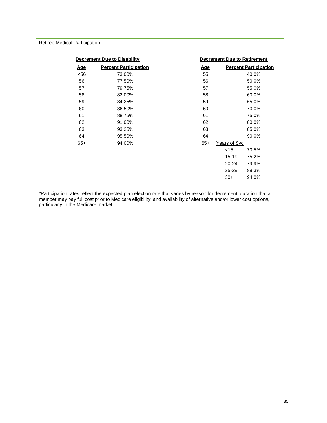Retiree Medical Participation

| <b>Decrement Due to Disability</b> |                              |            | <b>Decrement Due to Retirement</b> |                              |
|------------------------------------|------------------------------|------------|------------------------------------|------------------------------|
| <u>Age</u>                         | <b>Percent Participation</b> | <u>Age</u> |                                    | <b>Percent Participation</b> |
| < 56                               | 73.00%                       | 55         |                                    | 40.0%                        |
| 56                                 | 77.50%                       | 56         |                                    | 50.0%                        |
| 57                                 | 79.75%                       | 57         |                                    | 55.0%                        |
| 58                                 | 82.00%                       | 58         |                                    | 60.0%                        |
| 59                                 | 84.25%                       | 59         |                                    | 65.0%                        |
| 60                                 | 86.50%                       | 60         |                                    | 70.0%                        |
| 61                                 | 88.75%                       | 61         |                                    | 75.0%                        |
| 62                                 | 91.00%                       | 62         |                                    | 80.0%                        |
| 63                                 | 93.25%                       | 63         |                                    | 85.0%                        |
| 64                                 | 95.50%                       | 64         |                                    | 90.0%                        |
| $65+$                              | 94.00%                       | $65+$      | Years of Svc                       |                              |
|                                    |                              |            | $<$ 15                             | 70.5%                        |
|                                    |                              |            | 15-19                              | 75.2%                        |
|                                    |                              |            | $20 - 24$                          | 79.9%                        |
|                                    |                              |            | $25 - 29$                          | 89.3%                        |
|                                    |                              |            | $30+$                              | 94.0%                        |

\*Participation rates reflect the expected plan election rate that varies by reason for decrement, duration that a member may pay full cost prior to Medicare eligibility, and availability of alternative and/or lower cost options, particularly in the Medicare market.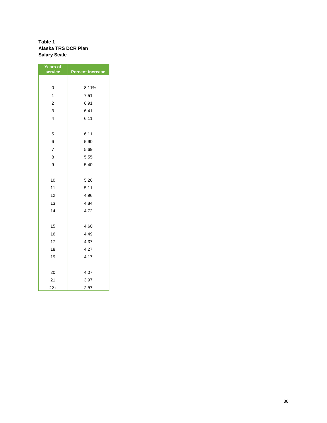#### **Table 1 Alaska TRS DCR Plan Salary Scale**

| <b>Years of</b><br>service | <b>Percent Increase</b> |
|----------------------------|-------------------------|
|                            |                         |
| 0                          | 8.11%                   |
| 1                          | 7.51                    |
| $\overline{c}$             | 6.91                    |
| 3                          | 6.41                    |
| $\overline{4}$             | 6.11                    |
|                            |                         |
| 5                          | 6.11                    |
| 6                          | 5.90                    |
| $\overline{7}$             | 5.69                    |
| 8                          | 5.55                    |
| 9                          | 5.40                    |
|                            |                         |
| 10                         | 5.26                    |
| 11                         | 5.11                    |
| 12                         | 4.96                    |
| 13                         | 4.84                    |
| 14                         | 4.72                    |
|                            |                         |
| 15                         | 4.60                    |
| 16                         | 4.49                    |
| 17                         | 4.37                    |
| 18                         | 4.27                    |
| 19                         | 4.17                    |
|                            |                         |
| 20                         | 4.07                    |
| 21                         | 3.97                    |
| $22+$                      | 3.87                    |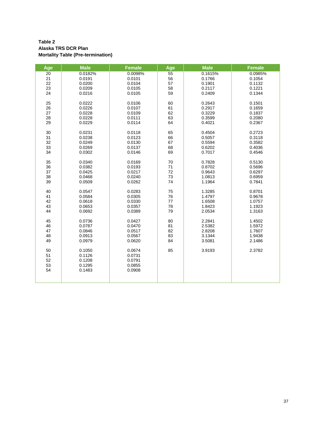#### **Table 2 Alaska TRS DCR Plan Mortality Table (Pre-termination)**

| Age      | <b>Male</b>      | <b>Female</b>    | Age      | <b>Male</b>      | <b>Female</b>    |
|----------|------------------|------------------|----------|------------------|------------------|
| 20       | 0.0182%          | 0.0098%          | 55       | 0.1615%          | 0.0985%          |
| 21<br>22 | 0.0191<br>0.0200 | 0.0101<br>0.0104 | 56<br>57 | 0.1766<br>0.1901 | 0.1054<br>0.1132 |
| 23       | 0.0209           | 0.0105           | 58       | 0.2117           | 0.1221           |
| 24       | 0.0216           | 0.0105           | 59       | 0.2409           | 0.1344           |
|          |                  |                  |          |                  |                  |
| 25       | 0.0222           | 0.0106           | 60       | 0.2643           | 0.1501           |
| 26       | 0.0226           | 0.0107           | 61       | 0.2917           | 0.1659           |
| 27       | 0.0228           | 0.0109           | 62       | 0.3229           | 0.1837           |
| 28       | 0.0228           | 0.0111           | 63       | 0.3599           | 0.2080           |
| 29       | 0.0229           | 0.0114           | 64       | 0.4021           | 0.2367           |
| 30       | 0.0231           | 0.0118           | 65       | 0.4504           | 0.2723           |
| 31       | 0.0238           | 0.0123           | 66       | 0.5057           | 0.3118           |
| 32       | 0.0249           | 0.0130           | 67       | 0.5594           | 0.3582           |
| 33       | 0.0269           | 0.0137           | 68       | 0.6202           | 0.4036           |
| 34       | 0.0302           | 0.0146           | 69       | 0.7017           | 0.4546           |
| 35       | 0.0340           | 0.0169           | $70\,$   | 0.7828           | 0.5130           |
| 36       | 0.0382           | 0.0193           | 71       | 0.8702           | 0.5696           |
| 37       | 0.0425           | 0.0217           | 72       | 0.9643           | 0.6297           |
| 38       | 0.0468           | 0.0240           | 73       | 1.0813           | 0.6959           |
| 39       | 0.0509           | 0.0262           | 74       | 1.1964           | 0.7841           |
|          |                  |                  |          |                  |                  |
| 40       | 0.0547           | 0.0283           | 75       | 1.3285           | 0.8701           |
| 41       | 0.0584           | 0.0305           | 76       | 1.4797           | 0.9678           |
| 42       | 0.0618           | 0.0330           | $77 \,$  | 1.6508           | 1.0757           |
| 43       | 0.0653           | 0.0357           | 78       | 1.8423           | 1.1923           |
| 44       | 0.0692           | 0.0389           | 79       | 2.0534           | 1.3163           |
| 45       | 0.0736           | 0.0427           | 80       | 2.2841           | 1.4502           |
| 46       | 0.0787           | 0.0470           | 81       | 2.5382           | 1.5972           |
| 47       | 0.0846           | 0.0517           | 82       | 2.8208           | 1.7607           |
| 48       | 0.0913           | 0.0567           | 83       | 3.1344           | 1.9438           |
| 49       | 0.0979           | 0.0620           | 84       | 3.5081           | 2.1486           |
| 50       | 0.1050           | 0.0674           | 85       | 3.9193           | 2.3782           |
| 51       | 0.1126           | 0.0731           |          |                  |                  |
| 52       | 0.1208           | 0.0791           |          |                  |                  |
| 53       | 0.1295           | 0.0855           |          |                  |                  |
| 54       | 0.1483           | 0.0908           |          |                  |                  |
|          |                  |                  |          |                  |                  |
|          |                  |                  |          |                  |                  |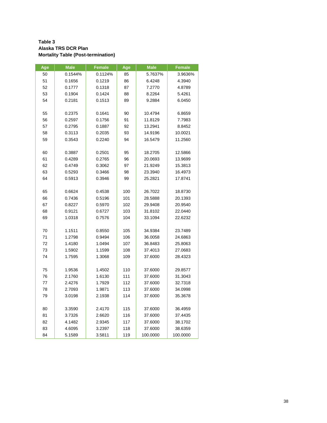#### **Table 3 Alaska TRS DCR Plan Mortality Table (Post-termination)**

| Age | <b>Male</b> | <b>Female</b> | Age | <b>Male</b> | <b>Female</b> |
|-----|-------------|---------------|-----|-------------|---------------|
| 50  | 0.1544%     | 0.1124%       | 85  | 5.7637%     | 3.9636%       |
| 51  | 0.1656      | 0.1219        | 86  | 6.4248      | 4.3940        |
| 52  | 0.1777      | 0.1318        | 87  | 7.2770      | 4.8789        |
| 53  | 0.1904      | 0.1424        | 88  | 8.2264      | 5.4261        |
| 54  | 0.2181      | 0.1513        | 89  | 9.2884      | 6.0450        |
|     |             |               |     |             |               |
| 55  | 0.2375      | 0.1641        | 90  | 10.4794     | 6.8659        |
| 56  | 0.2597      | 0.1756        | 91  | 11.8129     | 7.7983        |
| 57  | 0.2795      | 0.1887        | 92  | 13.2941     | 8.8452        |
| 58  | 0.3113      | 0.2035        | 93  | 14.9196     | 10.0021       |
| 59  | 0.3543      | 0.2240        | 94  | 16.5479     | 11.2560       |
|     |             |               |     |             |               |
| 60  | 0.3887      | 0.2501        | 95  | 18.2705     | 12.5866       |
| 61  | 0.4289      | 0.2765        | 96  | 20.0693     | 13.9699       |
| 62  | 0.4749      | 0.3062        | 97  | 21.9249     | 15.3813       |
| 63  | 0.5293      | 0.3466        | 98  | 23.3940     | 16.4973       |
| 64  | 0.5913      | 0.3946        | 99  | 25.2821     | 17.8741       |
|     |             |               |     |             |               |
| 65  | 0.6624      | 0.4538        | 100 | 26.7022     | 18.8730       |
| 66  | 0.7436      | 0.5196        | 101 | 28.5888     | 20.1393       |
| 67  | 0.8227      | 0.5970        | 102 | 29.9408     | 20.9540       |
| 68  | 0.9121      | 0.6727        | 103 | 31.8102     | 22.0440       |
| 69  | 1.0318      | 0.7576        | 104 | 33.1094     | 22.6232       |
|     |             |               |     |             |               |
| 70  | 1.1511      | 0.8550        | 105 | 34.9384     | 23.7489       |
| 71  | 1.2798      | 0.9494        | 106 | 36.0058     | 24.6863       |
| 72  | 1.4180      | 1.0494        | 107 | 36.8483     | 25.8063       |
| 73  | 1.5902      | 1.1599        | 108 | 37.4013     | 27.0683       |
| 74  | 1.7595      | 1.3068        | 109 | 37.6000     | 28.4323       |
|     |             |               |     |             |               |
| 75  | 1.9536      | 1.4502        | 110 | 37.6000     | 29.8577       |
| 76  | 2.1760      | 1.6130        | 111 | 37.6000     | 31.3043       |
| 77  | 2.4276      | 1.7929        | 112 | 37.6000     | 32.7318       |
| 78  | 2.7093      | 1.9871        | 113 | 37.6000     | 34.0998       |
| 79  | 3.0198      | 2.1938        | 114 | 37.6000     | 35.3678       |
|     |             |               |     |             |               |
| 80  | 3.3590      | 2.4170        | 115 | 37.6000     | 36.4959       |
| 81  | 3.7326      | 2.6620        | 116 | 37.6000     | 37.4435       |
| 82  | 4.1482      | 2.9345        | 117 | 37.6000     | 38.1702       |
| 83  | 4.6095      | 3.2397        | 118 | 37.6000     | 38.6359       |
| 84  | 5.1589      | 3.5811        | 119 | 100.0000    | 100.0000      |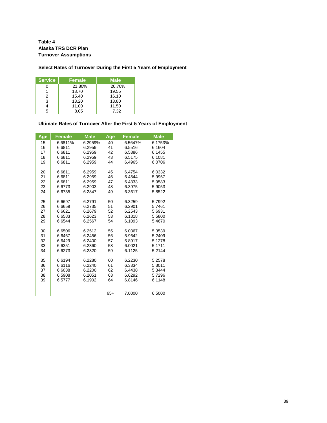**Table 4 Alaska TRS DCR Plan Turnover Assumptions**

### **Select Rates of Turnover During the First 5 Years of Employment**

| <b>Service</b> | <b>Female</b> | <b>Male</b> |
|----------------|---------------|-------------|
|                | 21.80%        | 20.70%      |
|                | 18.70         | 19.55       |
| 2              | 15.40         | 16.10       |
| 3              | 13.20         | 13.80       |
|                | 11.00         | 11.50       |
| г,             | 8.05          | 7.32        |

### **Ultimate Rates of Turnover After the First 5 Years of Employment**

| Age | <b>Female</b> | <b>Male</b> | Age   | <b>Female</b> | <b>Male</b> |
|-----|---------------|-------------|-------|---------------|-------------|
| 15  | 6.6811%       | 6.2959%     | 40    | 6.5647%       | 6.1753%     |
| 16  | 6.6811        | 6.2959      | 41    | 6.5516        | 6.1604      |
| 17  | 6.6811        | 6.2959      | 42    | 6.5386        | 6.1455      |
| 18  | 6.6811        | 6.2959      | 43    | 6.5175        | 6.1081      |
| 19  | 6.6811        | 6.2959      | 44    | 6.4965        | 6.0706      |
| 20  | 6.6811        | 6.2959      | 45    | 6.4754        | 6.0332      |
| 21  | 6.6811        | 6.2959      | 46    | 6.4544        | 5.9957      |
| 22  | 6.6811        | 6.2959      | 47    | 6.4333        | 5.9583      |
| 23  | 6.6773        | 6.2903      | 48    | 6.3975        | 5.9053      |
| 24  | 6.6735        | 6.2847      | 49    | 6.3617        | 5.8522      |
| 25  | 6.6697        | 6.2791      | 50    | 6.3259        | 5.7992      |
| 26  | 6.6659        | 6.2735      | 51    | 6.2901        | 5.7461      |
| 27  | 6.6621        | 6.2679      | 52    | 6.2543        | 5.6931      |
| 28  | 6.6583        | 6.2623      | 53    | 6.1818        | 5.5800      |
| 29  | 6.6544        | 6.2567      | 54    | 6.1093        | 5.4670      |
| 30  | 6.6506        | 6.2512      | 55    | 6.0367        | 5.3539      |
| 31  | 6.6467        | 6.2456      | 56    | 5.9642        | 5.2409      |
| 32  | 6.6429        | 6.2400      | 57    | 5.8917        | 5.1278      |
| 33  | 6.6351        | 6.2360      | 58    | 6.0021        | 5.1711      |
| 34  | 6.6273        | 6.2320      | 59    | 6.1125        | 5.2144      |
| 35  | 6.6194        | 6.2280      | 60    | 6.2230        | 5.2578      |
| 36  | 6.6116        | 6.2240      | 61    | 6.3334        | 5.3011      |
| 37  | 6.6038        | 6.2200      | 62    | 6.4438        | 5.3444      |
| 38  | 6.5908        | 6.2051      | 63    | 6.6292        | 5.7296      |
| 39  | 6.5777        | 6.1902      | 64    | 6.8146        | 6.1148      |
|     |               |             |       |               |             |
|     |               |             | $65+$ | 7.0000        | 6.5000      |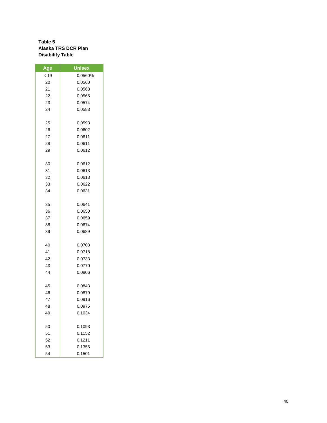### **Table 5 Alaska TRS DCR Plan Disability Table**

| Age  | <b>Unisex</b> |
|------|---------------|
| < 19 | 0.0560%       |
| 20   | 0.0560        |
| 21   | 0.0563        |
| 22   | 0.0565        |
| 23   | 0.0574        |
| 24   | 0.0583        |
|      |               |
| 25   | 0.0593        |
| 26   | 0.0602        |
| 27   | 0.0611        |
| 28   | 0.0611        |
| 29   | 0.0612        |
|      |               |
| 30   | 0.0612        |
| 31   | 0.0613        |
| 32   | 0.0613        |
| 33   | 0.0622        |
| 34   | 0.0631        |
|      |               |
| 35   | 0.0641        |
| 36   | 0.0650        |
| 37   | 0.0659        |
| 38   | 0.0674        |
| 39   | 0.0689        |
|      |               |
| 40   | 0.0703        |
| 41   | 0.0718        |
| 42   | 0.0733        |
| 43   | 0.0770        |
| 44   | 0.0806        |
|      |               |
| 45   | 0.0843        |
| 46   | 0.0879        |
| 47   | 0.0916        |
| 48   | 0.0975        |
| 49   | 0.1034        |
|      |               |
| 50   | 0.1093        |
| 51   | 0.1152        |
| 52   | 0.1211        |
| 53   | 0.1356        |
| 54   | 0.1501        |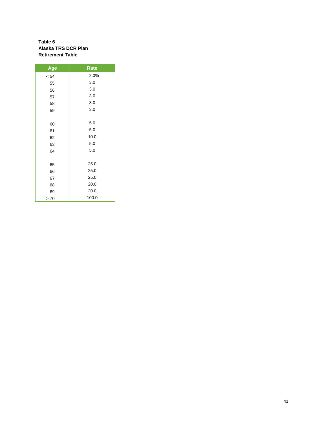#### **Table 6 Alaska TRS DCR Plan Retirement Table**

| Age  | Rate  |
|------|-------|
| < 54 | 2.0%  |
| 55   | 3.0   |
| 56   | 3.0   |
| 57   | 3.0   |
| 58   | 3.0   |
| 59   | 3.0   |
|      |       |
| 60   | 5.0   |
| 61   | 5.0   |
| 62   | 10.0  |
| 63   | 5.0   |
| 64   | 5.0   |
|      |       |
| 65   | 25.0  |
| 66   | 25.0  |
| 67   | 25.0  |
| 68   | 20.0  |
| 69   | 20.0  |
| > 70 | 100.0 |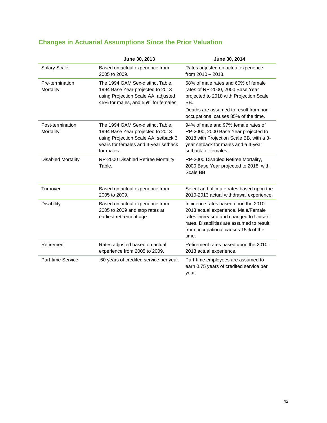|                               | June 30, 2013                                                                                                                                                      | June 30, 2014                                                                                                                                                                                                     |
|-------------------------------|--------------------------------------------------------------------------------------------------------------------------------------------------------------------|-------------------------------------------------------------------------------------------------------------------------------------------------------------------------------------------------------------------|
| Salary Scale                  | Based on actual experience from<br>2005 to 2009.                                                                                                                   | Rates adjusted on actual experience<br>from $2010 - 2013$ .                                                                                                                                                       |
| Pre-termination<br>Mortality  | The 1994 GAM Sex-distinct Table,<br>1994 Base Year projected to 2013<br>using Projection Scale AA, adjusted<br>45% for males, and 55% for females.                 | 68% of male rates and 60% of female<br>rates of RP-2000, 2000 Base Year<br>projected to 2018 with Projection Scale<br>BB.                                                                                         |
|                               |                                                                                                                                                                    | Deaths are assumed to result from non-<br>occupational causes 85% of the time.                                                                                                                                    |
| Post-termination<br>Mortality | The 1994 GAM Sex-distinct Table,<br>1994 Base Year projected to 2013<br>using Projection Scale AA, setback 3<br>years for females and 4-year setback<br>for males. | 94% of male and 97% female rates of<br>RP-2000, 2000 Base Year projected to<br>2018 with Projection Scale BB, with a 3-<br>year setback for males and a 4-year<br>setback for females.                            |
| <b>Disabled Mortality</b>     | RP-2000 Disabled Retiree Mortality<br>Table.                                                                                                                       | RP-2000 Disabled Retiree Mortality,<br>2000 Base Year projected to 2018, with<br>Scale BB                                                                                                                         |
| Turnover                      | Based on actual experience from<br>2005 to 2009.                                                                                                                   | Select and ultimate rates based upon the<br>2010-2013 actual withdrawal experience.                                                                                                                               |
| <b>Disability</b>             | Based on actual experience from<br>2005 to 2009 and stop rates at<br>earliest retirement age.                                                                      | Incidence rates based upon the 2010-<br>2013 actual experience. Male/Female<br>rates increased and changed to Unisex<br>rates. Disabilities are assumed to result<br>from occupational causes 15% of the<br>time. |
| Retirement                    | Rates adjusted based on actual<br>experience from 2005 to 2009.                                                                                                    | Retirement rates based upon the 2010 -<br>2013 actual experience.                                                                                                                                                 |
| Part-time Service             | .60 years of credited service per year.                                                                                                                            | Part-time employees are assumed to<br>earn 0.75 years of credited service per<br>year.                                                                                                                            |

### **Changes in Actuarial Assumptions Since the Prior Valuation**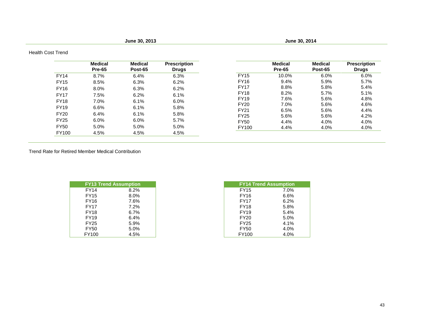**June 30, 2013 June 30, 2014**

### Health Cost Trend

|             | <b>Medical</b><br>Pre-65 | <b>Medical</b><br>Post-65 | <b>Prescription</b><br><b>Drugs</b> |             | <b>Medical</b><br>Pre-65 | <b>Medical</b><br>Post-65 | <b>Prescription</b><br><b>Drugs</b> |
|-------------|--------------------------|---------------------------|-------------------------------------|-------------|--------------------------|---------------------------|-------------------------------------|
| <b>FY14</b> | 8.7%                     | 6.4%                      | 6.3%                                | <b>FY15</b> | 10.0%                    | 6.0%                      | 6.0%                                |
| <b>FY15</b> | 8.5%                     | 6.3%                      | 6.2%                                | <b>FY16</b> | 9.4%                     | 5.9%                      | 5.7%                                |
| <b>FY16</b> | 8.0%                     | 6.3%                      | 6.2%                                | <b>FY17</b> | 8.8%                     | 5.8%                      | 5.4%                                |
| <b>FY17</b> | 7.5%                     | 6.2%                      | 6.1%                                | <b>FY18</b> | 8.2%                     | 5.7%                      | 5.1%                                |
| <b>FY18</b> | 7.0%                     | 6.1%                      | 6.0%                                | <b>FY19</b> | 7.6%                     | 5.6%                      | 4.8%                                |
| <b>FY19</b> |                          | 6.1%                      |                                     | <b>FY20</b> | 7.0%                     | 5.6%                      | 4.6%                                |
|             | 6.6%                     |                           | 5.8%                                | <b>FY21</b> | 6.5%                     | 5.6%                      | 4.4%                                |
| <b>FY20</b> | 6.4%                     | 6.1%                      | 5.8%                                | <b>FY25</b> | 5.6%                     | 5.6%                      | 4.2%                                |
| <b>FY25</b> | 6.0%                     | 6.0%                      | 5.7%                                | <b>FY50</b> | 4.4%                     | 4.0%                      | 4.0%                                |
| <b>FY50</b> | 5.0%                     | 5.0%                      | 5.0%                                | FY100       | 4.4%                     | 4.0%                      | 4.0%                                |
| FY100       | 4.5%                     | 4.5%                      | 4.5%                                |             |                          |                           |                                     |

Trend Rate for Retired Member Medical Contribution

|             | <b>FY13 Trend Assumption</b> | <b>FY14 Trend Assumption</b> |      |
|-------------|------------------------------|------------------------------|------|
| <b>FY14</b> | 8.2%                         | <b>FY15</b>                  | 7.0% |
| <b>FY15</b> | 8.0%                         | <b>FY16</b>                  | 6.6% |
| <b>FY16</b> | 7.6%                         | <b>FY17</b>                  | 6.2% |
| <b>FY17</b> | 7.2%                         | <b>FY18</b>                  | 5.8% |
| <b>FY18</b> | 6.7%                         | <b>FY19</b>                  | 5.4% |
| <b>FY19</b> | 6.4%                         | <b>FY20</b>                  | 5.0% |
| <b>FY25</b> | 5.9%                         | <b>FY25</b>                  | 4.1% |
| <b>FY50</b> | 5.0%                         | <b>FY50</b>                  | 4.0% |
| FY100       | 4.5%                         | FY100                        | 4.0% |